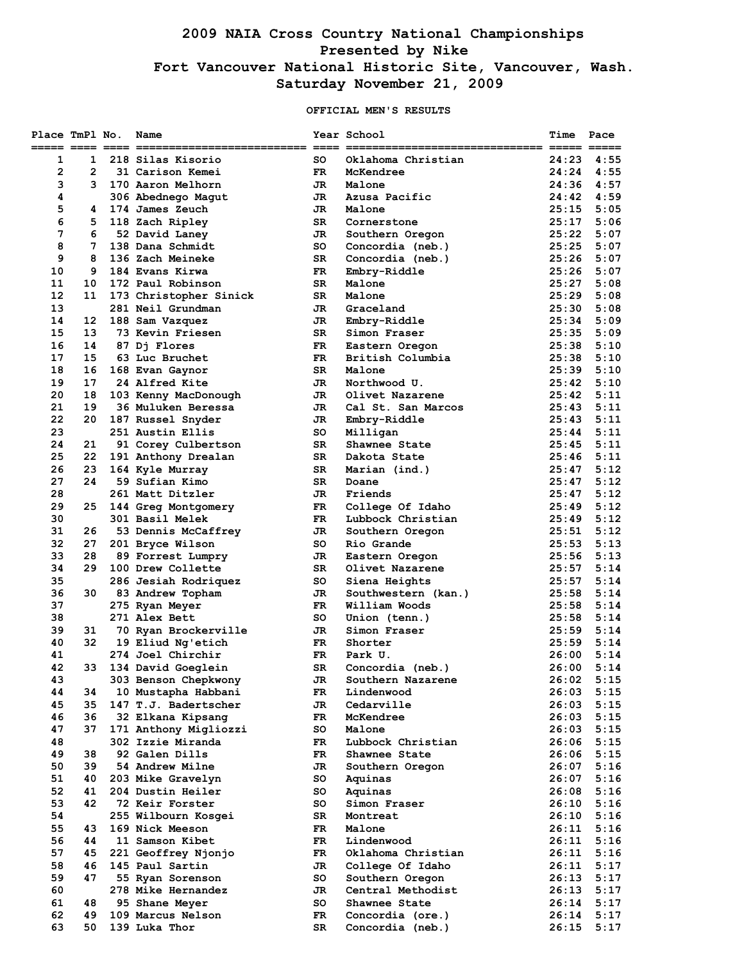# **2009 NAIA Cross Country National Championships Presented by Nike Fort Vancouver National Historic Site, Vancouver, Wash. Saturday November 21, 2009**

## **OFFICIAL MEN'S RESULTS**

| Place TmPl No.  |                | Name                   |     | Year School         | Time                                                        | Pace           |
|-----------------|----------------|------------------------|-----|---------------------|-------------------------------------------------------------|----------------|
| 1               | 1              | 218 Silas Kisorio      | so  | Oklahoma Christian  | $\qquad \qquad \equiv \equiv \equiv \equiv \equiv$<br>24:23 | 4:55           |
| $\overline{2}$  | $\overline{2}$ | 31 Carison Kemei       | FR  | McKendree           | 24:24                                                       | 4:55           |
| 3               | 3              | 170 Aaron Melhorn      | JR. | Malone              | 24:36                                                       | 4:57           |
| 4               |                | 306 Abednego Magut     | JR  | Azusa Pacific       | 24:42                                                       | 4:59           |
| 5               | 4              | 174 James Zeuch        | JR  | Malone              | 25:15                                                       | 5:05           |
| 6               | 5              | 118 Zach Ripley        | SR  | Cornerstone         | 25:17                                                       | 5:06           |
| 7               | 6              | 52 David Laney         | JR  | Southern Oregon     | 25:22                                                       | 5:07           |
| 8               | 7              | 138 Dana Schmidt       | SO. | Concordia (neb.)    | 25:25                                                       | 5:07           |
| 9               | 8              | 136 Zach Meineke       | SR  | Concordia (neb.)    | 25:26                                                       | 5:07           |
| 10              | 9              | 184 Evans Kirwa        | FR. | Embry-Riddle        | 25:26                                                       | 5:07           |
| 11              | 10             | 172 Paul Robinson      | SR  | Malone              | 25:27                                                       | 5:08           |
| 12 <sup>2</sup> | 11             | 173 Christopher Sinick | SR  | Malone              | 25:29                                                       | 5:08           |
| 13              |                | 281 Neil Grundman      | JR  | Graceland           | 25:30                                                       | 5:08           |
| 14              | 12             | 188 Sam Vazquez        | JR  | Embry-Riddle        | 25:34                                                       | 5:09           |
| 15              | 13             | 73 Kevin Friesen       | SR  | Simon Fraser        | 25:35                                                       | 5:09           |
| 16              | 14             | 87 Dj Flores           | FR  | Eastern Oregon      | 25:38                                                       | 5:10           |
| 17              | 15             | 63 Luc Bruchet         | FR. | British Columbia    | 25:38                                                       | 5:10           |
| 18              | 16             | 168 Evan Gaynor        | SR  | Malone              | 25:39                                                       | 5:10           |
| 19              | 17             | 24 Alfred Kite         | JR  | Northwood U.        | 25:42                                                       | 5:10           |
| 20              | 18             | 103 Kenny MacDonough   | JR  | Olivet Nazarene     | 25:42                                                       | 5:11           |
| 21              | 19             | 36 Muluken Beressa     | JR  | Cal St. San Marcos  | 25:43                                                       | 5:11           |
| 22              | 20             | 187 Russel Snyder      | JR  | Embry-Riddle        | 25:43                                                       | 5:11           |
| 23              |                | 251 Austin Ellis       | so  | Milligan            | 25:44                                                       | 5:11           |
| 24              | 21             | 91 Corey Culbertson    | SR. | Shawnee State       | 25:45                                                       | 5:11           |
| 25              | 22             | 191 Anthony Drealan    | SR  | Dakota State        |                                                             | $25:46$ $5:11$ |
| 26              | 23             | 164 Kyle Murray        | SR  | Marian (ind.)       | 25:47                                                       | 5:12           |
| 27              | 24             | 59 Sufian Kimo         | SR  | Doane               | 25:47                                                       | 5:12           |
| 28              |                | 261 Matt Ditzler       | JR. | Friends             | 25:47                                                       | 5:12           |
| 29              | 25             | 144 Greg Montgomery    | FR  | College Of Idaho    | 25:49                                                       | 5:12           |
| 30              |                | 301 Basil Melek        | FR. | Lubbock Christian   | 25:49                                                       | 5:12           |
| 31              | 26             | 53 Dennis McCaffrey    | JR  | Southern Oregon     | 25:51                                                       | 5:12           |
| 32              | 27             | 201 Bryce Wilson       | so  | Rio Grande          | 25:53                                                       | 5:13           |
| 33              | 28             | 89 Forrest Lumpry      | JR  | Eastern Oregon      | 25:56                                                       | 5:13           |
| 34              | 29             | 100 Drew Collette      | SR. | Olivet Nazarene     | 25:57                                                       | 5:14           |
| 35              |                | 286 Jesiah Rodriquez   | so  | Siena Heights       | 25:57                                                       | 5:14           |
| 36              | 30             | 83 Andrew Topham       | JR  | Southwestern (kan.) | 25:58                                                       | 5:14           |
| 37              |                | 275 Ryan Meyer         | FR. | William Woods       | 25:58                                                       | 5:14           |
| 38              |                | 271 Alex Bett          | SO. | Union (tenn.)       | 25:58                                                       | 5:14           |
| 39              | 31             | 70 Ryan Brockerville   | JR  | Simon Fraser        | 25:59                                                       | 5:14           |
| 40              | 32             | 19 Eliud Ng'etich      | FR. | Shorter             | 25:59                                                       | 5:14           |
| 41              |                | 274 Joel Chirchir      | FR. | Park U.             | 26:00                                                       | 5:14           |
| 42              | 33             | 134 David Goeglein     | SR  | Concordia (neb.)    | 26:00                                                       | 5:14           |
| 43              |                | 303 Benson Chepkwony   | JR  | Southern Nazarene   | 26:02                                                       | 5:15           |
| 44              | 34             | 10 Mustapha Habbani    | FR  | Lindenwood          | 26:03                                                       | 5:15           |
| 45              | 35             | 147 T.J. Badertscher   | JR  | Cedarville          | 26:03                                                       | 5:15           |
| 46              | 36             | 32 Elkana Kipsang      | FR. | McKendree           | 26:03                                                       | 5:15           |
| 47              | 37             | 171 Anthony Migliozzi  | so  | Malone              | 26:03                                                       | 5:15           |
| 48              |                | 302 Izzie Miranda      | FR. | Lubbock Christian   | 26:06                                                       | 5:15           |
| 49              | 38             | 92 Galen Dills         | FR  | Shawnee State       | 26:06                                                       | 5:15           |
| 50              | 39             | 54 Andrew Milne        | JR  | Southern Oregon     | 26:07                                                       | 5:16           |
| 51              | 40             | 203 Mike Gravelyn      | so  | Aquinas             | 26:07                                                       | 5:16           |
| 52              | 41             | 204 Dustin Heiler      | so  | Aquinas             | 26:08                                                       | 5:16           |
| 53              | 42             | 72 Keir Forster        | so  | Simon Fraser        | 26:10                                                       | 5:16           |
| 54              |                | 255 Wilbourn Kosgei    | SR  | Montreat            | 26:10                                                       | 5:16           |
| 55              | 43             | 169 Nick Meeson        | FR. | Malone              | 26:11                                                       | 5:16           |
| 56              | 44             | 11 Samson Kibet        | FR  | Lindenwood          | 26:11                                                       | 5:16           |
| 57              | 45             | 221 Geoffrey Njonjo    | FR. | Oklahoma Christian  | 26:11                                                       | 5:16           |
| 58              | 46             | 145 Paul Sartin        | JR  | College Of Idaho    | 26:11                                                       | 5:17           |
| 59              | 47             | 55 Ryan Sorenson       | so  | Southern Oregon     | 26:13                                                       | 5:17           |
| 60              |                | 278 Mike Hernandez     | JR  | Central Methodist   | 26:13                                                       | 5:17           |
| 61              | 48             | 95 Shane Meyer         | so  | Shawnee State       | 26:14                                                       | 5:17           |
| 62              | 49             | 109 Marcus Nelson      | FR  | Concordia (ore.)    | 26:14                                                       | 5:17           |
| 63              | 50             | 139 Luka Thor          | SR  | Concordia (neb.)    | 26:15                                                       | 5:17           |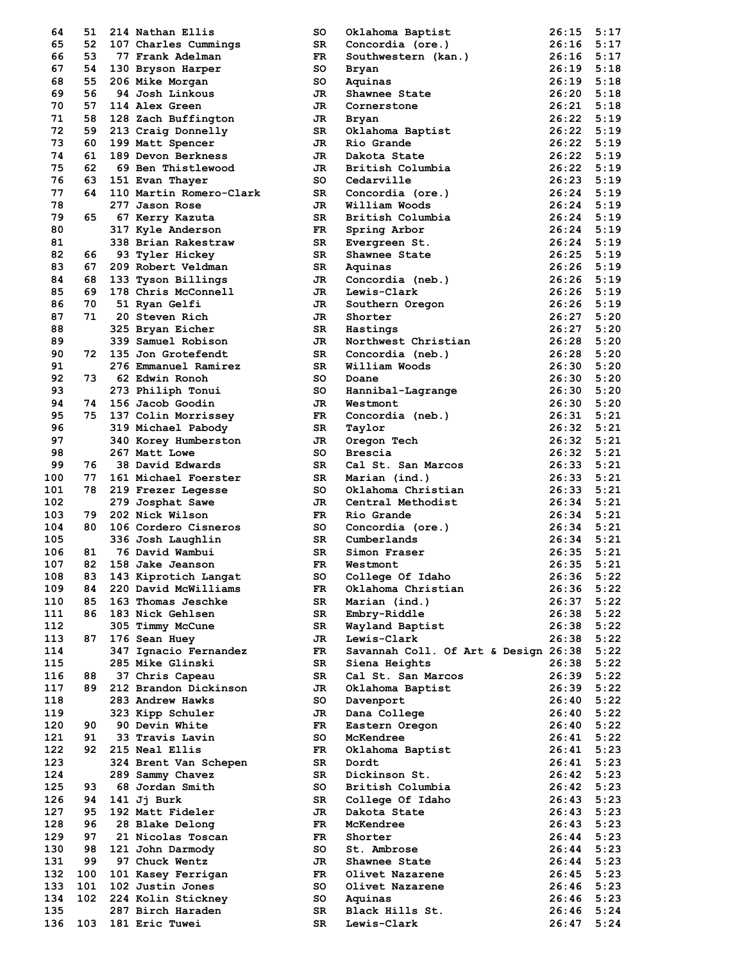| 64  | 51  |                         | so          |                                      | 26:15          | 5:17 |
|-----|-----|-------------------------|-------------|--------------------------------------|----------------|------|
| 65  | 52  | 214 Nathan Ellis        | SR.         | Oklahoma Baptist                     | 26:16          |      |
|     |     | 107 Charles Cummings    |             | Concordia (ore.)                     | 26:16          | 5:17 |
| 66  | 53  | 77 Frank Adelman        | FR.         | Southwestern (kan.)                  |                | 5:17 |
| 67  | 54  | 130 Bryson Harper       | so          | Bryan                                | 26:19          | 5:18 |
| 68  | 55  | 206 Mike Morgan         | so          | Aquinas                              | 26:19          | 5:18 |
| 69  | 56  | 94 Josh Linkous         | JR          | Shawnee State                        | 26:20          | 5:18 |
| 70  | 57  | 114 Alex Green          | JR          | Cornerstone                          | 26:21          | 5:18 |
| 71  | 58  | 128 Zach Buffington     | JR          | Bryan                                | 26:22          | 5:19 |
| 72  | 59  | 213 Craig Donnelly      | SR          | Oklahoma Baptist                     | 26:22          | 5:19 |
| 73  | 60  | 199 Matt Spencer        | JR.         | Rio Grande                           | 26:22          | 5:19 |
| 74  | 61  | 189 Devon Berkness      | JR          | Dakota State                         | 26:22          | 5:19 |
| 75  | 62  | 69 Ben Thistlewood      | JR.         | British Columbia                     | 26:22          | 5:19 |
| 76  | 63  | 151 Evan Thayer         | so          | Cedarville                           | 26:23          | 5:19 |
| 77  | 64  | 110 Martin Romero-Clark | SR          | Concordia (ore.)                     | 26:24          | 5:19 |
| 78  |     | 277 Jason Rose          | JR.         | William Woods                        | 26:24          | 5:19 |
| 79  | 65  | 67 Kerry Kazuta         | SR          | British Columbia                     | 26:24          | 5:19 |
| 80  |     | 317 Kyle Anderson       | $_{\rm FR}$ | Spring Arbor                         | 26:24          | 5:19 |
| 81  |     | 338 Brian Rakestraw     | SR.         | Evergreen St.                        | 26:24          | 5:19 |
| 82  | 66  | 93 Tyler Hickey         | SR.         | Shawnee State                        | 26:25          | 5:19 |
| 83  | 67  | 209 Robert Veldman      | SR          | Aquinas                              | 26:26          | 5:19 |
| 84  | 68  | 133 Tyson Billings      | JR          | Concordia (neb.)                     | 26:26          | 5:19 |
| 85  | 69  | 178 Chris McConnell     | JR          | Lewis-Clark                          | 26:26          | 5:19 |
| 86  | 70  | 51 Ryan Gelfi           | JR          | Southern Oregon                      | $26:26$ 5:19   |      |
| 87  | 71  | 20 Steven Rich          | JR          | Shorter                              | 26:27          | 5:20 |
| 88  |     | 325 Bryan Eicher        | SR          | Hastings                             | 26:27          | 5:20 |
| 89  |     | 339 Samuel Robison      | JR.         | Northwest Christian                  | 26:28          | 5:20 |
| 90  | 72  | 135 Jon Grotefendt      | SR          | Concordia (neb.)                     | 26:28          | 5:20 |
| 91  |     | 276 Emmanuel Ramirez    | SR.         | William Woods                        | 26:30          | 5:20 |
| 92  | 73. | 62 Edwin Ronoh          | so          | Doane                                | 26:30          | 5:20 |
| 93  |     | 273 Philiph Tonui       | so          | Hannibal-Lagrange                    | 26:30          | 5:20 |
| 94  | 74  | 156 Jacob Goodin        | JR.         | Westmont                             | 26:30          | 5:20 |
| 95  | 75  | 137 Colin Morrissey     | FR.         | Concordia (neb.)                     | 26:31          | 5:21 |
| 96  |     | 319 Michael Pabody      | SR          | Taylor                               | 26:32          | 5:21 |
| 97  |     | 340 Korey Humberston    | JR          | Oregon Tech                          | 26:32          | 5:21 |
| 98  |     | 267 Matt Lowe           | so          | Brescia                              | 26:32          | 5:21 |
| 99  | 76  | 38 David Edwards        | SR.         | Cal St. San Marcos                   | $26:33$ $5:21$ |      |
| 100 | 77  | 161 Michael Foerster    | SR.         |                                      | 26:33          | 5:21 |
| 101 | 78  |                         | so          | Marian (ind.)                        | 26:33          | 5:21 |
|     |     | 219 Frezer Legesse      |             | Oklahoma Christian                   |                |      |
| 102 |     | 279 Josphat Sawe        | JR.         | Central Methodist                    | 26:34          | 5:21 |
| 103 | 79  | 202 Nick Wilson         | FR.         | Rio Grande                           | 26:34          | 5:21 |
| 104 | 80  | 106 Cordero Cisneros    | so          | Concordia (ore.)                     | 26:34          | 5:21 |
| 105 |     | 336 Josh Laughlin       | SR.         | Cumberlands                          | 26:34          | 5:21 |
| 106 | 81  | 76 David Wambui         | SR          | Simon Fraser                         | 26:35          | 5:21 |
| 107 |     | 82 158 Jake Jeanson     | FR          | Westmont                             | 26:35          | 5:21 |
| 108 | 83  | 143 Kiprotich Langat    | so          | College Of Idaho                     | 26:36          | 5:22 |
| 109 | 84. | 220 David McWilliams    | FR          | Oklahoma Christian                   | $26:36$ $5:22$ |      |
| 110 | 85  | 163 Thomas Jeschke      | SR          | Marian (ind.)                        | 26:37          | 5:22 |
| 111 | 86  | 183 Nick Gehlsen        | SR          | Embry-Riddle                         | 26:38          | 5:22 |
| 112 |     | 305 Timmy McCune        | SR          | Wayland Baptist                      | 26:38          | 5:22 |
| 113 | 87  | 176 Sean Huey           | JR          | Lewis-Clark                          | $26:38$ $5:22$ |      |
| 114 |     | 347 Ignacio Fernandez   | FR.         | Savannah Coll. Of Art & Design 26:38 |                | 5:22 |
| 115 |     | 285 Mike Glinski        | SR          | Siena Heights                        | 26:38          | 5:22 |
| 116 | 88  | 37 Chris Capeau         | SR          | Cal St. San Marcos                   | $26:39$ $5:22$ |      |
| 117 | 89. | 212 Brandon Dickinson   | JR          | Oklahoma Baptist                     | 26:39          | 5:22 |
| 118 |     | 283 Andrew Hawks        | so          | Davenport                            | 26:40          | 5:22 |
| 119 |     | 323 Kipp Schuler        | JR          | Dana College                         | $26:40$ $5:22$ |      |
| 120 | 90  | 90 Devin White          | FR          | Eastern Oregon                       | 26:40          | 5:22 |
| 121 | 91  | 33 Travis Lavin         | so          | McKendree                            | 26:41          | 5:22 |
| 122 | 92  | 215 Neal Ellis          | FR          | Oklahoma Baptist                     | 26:41          | 5:23 |
| 123 |     | 324 Brent Van Schepen   | SR          | Dordt                                | 26:41          | 5:23 |
| 124 |     | 289 Sammy Chavez        | SR          | Dickinson St.                        | 26:42          | 5:23 |
| 125 | 93  | 68 Jordan Smith         | so          | British Columbia                     | 26:42          | 5:23 |
| 126 | 94  | 141 Jj Burk             | SR          | College Of Idaho                     | $26:43$ $5:23$ |      |
| 127 | 95  | 192 Matt Fideler        | JR          | Dakota State                         | 26:43          | 5:23 |
| 128 | 96  | 28 Blake Delong         | FR.         | McKendree                            | 26:43          | 5:23 |
| 129 | 97  | 21 Nicolas Toscan       | FR.         | Shorter                              | 26:44          | 5:23 |
| 130 | 98  | 121 John Darmody        | SO          | St. Ambrose                          | 26:44          | 5:23 |
| 131 | 99  | 97 Chuck Wentz          | JR          | Shawnee State                        | 26:44          | 5:23 |
| 132 | 100 | 101 Kasey Ferrigan      | $_{\rm FR}$ | Olivet Nazarene                      | 26:45          | 5:23 |
| 133 | 101 | 102 Justin Jones        | so          | Olivet Nazarene                      | $26:46$ 5:23   |      |
| 134 | 102 | 224 Kolin Stickney      | SO          | Aquinas                              | 26:46          | 5:23 |
| 135 |     | 287 Birch Haraden       | SR          | Black Hills St.                      | 26:46          | 5:24 |
| 136 | 103 | 181 Eric Tuwei          | SR          | Lewis-Clark                          | 26:47          | 5:24 |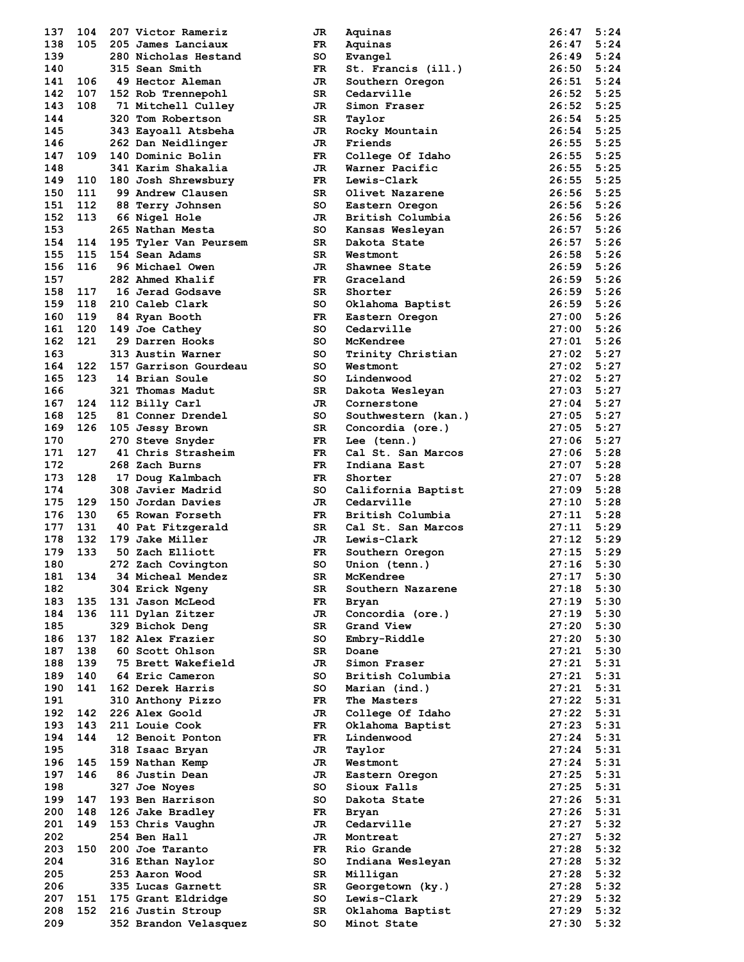| 138<br>139 | 104 | 207 Victor Rameriz                         | JR        | Aquinas                         | 26:47          | 5:24         |
|------------|-----|--------------------------------------------|-----------|---------------------------------|----------------|--------------|
|            | 105 | 205 James Lanciaux                         | FR        | Aquinas                         | 26:47          | 5:24         |
|            |     | 280 Nicholas Hestand                       | so        | Evangel                         | 26:49          | 5:24         |
| 140        |     | 315 Sean Smith                             | FR        | St. Francis (ill.)              | 26:50          | 5:24         |
|            |     |                                            |           |                                 |                |              |
| 141        | 106 | 49 Hector Aleman                           | JR        | Southern Oregon                 | 26:51          | 5:24         |
| 142        | 107 | 152 Rob Trennepohl                         | SR        | Cedarville                      | 26:52          | 5:25         |
| 143        | 108 | 71 Mitchell Culley                         | JR        | Simon Fraser                    | 26:52          | 5:25         |
| 144        |     | 320 Tom Robertson                          | SR        | Taylor                          | 26:54          | 5:25         |
| 145        |     | 343 Eayoall Atsbeha                        | JR        | Rocky Mountain                  | 26:54          | 5:25         |
| 146        |     | 262 Dan Neidlinger                         | JR.       | Friends                         | 26:55          | 5:25         |
| 147        | 109 | 140 Dominic Bolin                          | FR        | College Of Idaho                | 26:55          | 5:25         |
|            |     |                                            |           |                                 |                |              |
| 148        |     | 341 Karim Shakalia                         | JR        | Warner Pacific                  | 26:55          | 5:25         |
| 149        | 110 | 180 Josh Shrewsbury                        | FR.       | Lewis-Clark                     | 26:55          | 5:25         |
| 150        | 111 | 99 Andrew Clausen                          | SR        | Olivet Nazarene                 | 26:56          | 5:25         |
| 151        | 112 | 88 Terry Johnsen                           | so        | Eastern Oregon                  | 26:56          | 5:26         |
| 152        | 113 | 66 Nigel Hole                              | JR.       | British Columbia                | 26:56          | 5:26         |
| 153        |     | 265 Nathan Mesta                           | so        | Kansas Wesleyan                 | 26:57          | 5:26         |
|            |     |                                            |           |                                 |                | 5:26         |
| 154        | 114 | 195 Tyler Van Peursem                      | SR        | Dakota State                    | 26:57          |              |
| 155        | 115 | 154 Sean Adams                             | SR        | Westmont                        | 26:58          | 5:26         |
| 156        | 116 | 96 Michael Owen                            | JR        | Shawnee State                   | 26:59          | 5:26         |
| 157        |     | 282 Ahmed Khalif                           | FR.       | Graceland                       | 26:59          | 5:26         |
| 158        | 117 | 16 Jerad Godsave                           | SR        | Shorter                         | 26:59          | 5:26         |
| 159        | 118 | 210 Caleb Clark                            | so        | Oklahoma Baptist                | 26:59          | 5:26         |
| 160        | 119 | 84 Ryan Booth                              | FR.       | Eastern Oregon                  | 27:00          | 5:26         |
|            |     |                                            |           |                                 |                |              |
| 161        | 120 | 149 Joe Cathey                             | so        | Cedarville                      | 27:00          | 5:26         |
| 162        | 121 | 29 Darren Hooks                            | so        | McKendree                       | 27:01          | 5:26         |
| 163        |     | 313 Austin Warner                          | so        | Trinity Christian               | 27:02          | 5:27         |
| 164        | 122 | 157 Garrison Gourdeau                      | so        | Westmont                        | 27:02          | 5:27         |
| 165        | 123 | 14 Brian Soule                             | so        | Lindenwood                      | 27:02          | 5:27         |
| 166        |     | 321 Thomas Madut                           | SR        | Dakota Wesleyan                 | 27:03          | 5:27         |
|            |     |                                            |           |                                 |                |              |
| 167        | 124 | 112 Billy Carl                             | JR.       | Cornerstone                     | 27:04          | 5:27         |
| 168        | 125 | 81 Conner Drendel                          | so        | Southwestern (kan.)             | 27:05          | 5:27         |
| 169        | 126 | 105 Jessy Brown                            | SR        | Concordia (ore.)                | 27:05          | 5:27         |
| 170        |     | 270 Steve Snyder                           | <b>FR</b> | Lee (tenn.)                     | 27:06          | 5:27         |
| 171        | 127 | 41 Chris Strasheim                         | FR.       | Cal St. San Marcos              | 27:06          | 5:28         |
| 172        |     | 268 Zach Burns                             | FR.       | Indiana East                    | 27:07          | 5:28         |
| 173        | 128 | 17 Doug Kalmbach                           | FR        | Shorter                         | 27:07          | 5:28         |
|            |     |                                            |           |                                 |                |              |
| 174        |     | 308 Javier Madrid                          | so        | California Baptist              | 27:09          | 5:28         |
| 175        | 129 | 150 Jordan Davies                          |           |                                 |                | 5:28         |
|            |     |                                            | JR.       | Cedarville                      | 27:10          |              |
| 176        | 130 | 65 Rowan Forseth                           | FR.       | British Columbia                | 27:11          | 5:28         |
| 177        | 131 | 40 Pat Fitzgerald                          | SR.       | Cal St. San Marcos              | 27:11          | 5:29         |
|            |     | 179 Jake Miller                            |           |                                 |                |              |
| 178        | 132 |                                            | JR        | Lewis-Clark                     | 27:12          | 5:29         |
| 179        | 133 | 50 Zach Elliott                            | FR.       | Southern Oregon                 | 27:15          | 5:29         |
| 180        |     | 272 Zach Covington                         | SO        | Union (tenn.)                   | 27:16          | 5:30         |
| 181        | 134 | <b>34 Micheal Mendez</b>                   | SR        | McKendree                       | 27:17          | 5:30         |
| 182        |     | 304 Erick Ngeny                            | SR        | Southern Nazarene               | 27:18          | 5:30         |
| 183        | 135 | 131 Jason McLeod                           | FR        | Bryan                           | 27:19          | 5:30         |
| 184        | 136 | 111 Dylan Zitzer                           | JR        | Concordia (ore.)                | 27:19          | 5:30         |
| 185        |     |                                            | SR        |                                 | 27:20          | 5:30         |
|            |     | 329 Bichok Deng                            |           | Grand View                      |                |              |
| 186        | 137 | 182 Alex Frazier                           | so        | Embry-Riddle                    | 27:20          | 5:30         |
| 187        | 138 | 60 Scott Ohlson                            | SR        | Doane                           | 27:21          | 5:30         |
| 188        | 139 | 75 Brett Wakefield                         | JR        | Simon Fraser                    | 27:21          | 5:31         |
| 189        | 140 | 64 Eric Cameron                            | so        | British Columbia                | 27:21          | 5:31         |
| 190        | 141 | 162 Derek Harris                           | so        | Marian (ind.)                   | 27:21          | 5:31         |
| 191        |     | 310 Anthony Pizzo                          | FR.       | The Masters                     | 27:22          |              |
|            |     |                                            |           |                                 |                | 5:31         |
| 192        | 142 | 226 Alex Goold                             | JR        | College Of Idaho                | 27:22          | 5:31         |
| 193        | 143 | 211 Louie Cook                             | FR.       | Oklahoma Baptist                | 27:23          | 5:31         |
| 194        | 144 | 12 Benoit Ponton                           | FR        | Lindenwood                      | 27:24          | 5:31         |
| 195        |     | 318 Isaac Bryan                            | JR        | Taylor                          | 27:24          | 5:31         |
| 196        | 145 | 159 Nathan Kemp                            | JR        | Westmont                        | 27:24          | 5:31         |
| 197        | 146 | 86 Justin Dean                             | JR        | Eastern Oregon                  | 27:25          | 5:31         |
| 198        |     | 327 Joe Noyes                              | so        | Sioux Falls                     | 27:25          | 5:31         |
| 199        | 147 | 193 Ben Harrison                           | so        | Dakota State                    | 27:26          |              |
|            |     |                                            |           |                                 |                | 5:31         |
| 200        | 148 | 126 Jake Bradley                           | FR.       | Bryan                           | 27:26          | 5:31         |
| 201        | 149 | 153 Chris Vaughn                           | JR        | Cedarville                      | 27:27          | 5:32         |
| 202        |     | 254 Ben Hall                               | JR        | Montreat                        | 27:27          | 5:32         |
| 203        | 150 | 200 Joe Taranto                            | FR        | Rio Grande                      | 27:28          | 5:32         |
| 204        |     | 316 Ethan Naylor                           | so        | Indiana Wesleyan                | 27:28          | 5:32         |
| 205        |     | 253 Aaron Wood                             | SR        | Milligan                        | 27:28          | 5:32         |
|            |     |                                            |           |                                 |                |              |
| 206        |     | 335 Lucas Garnett                          | SR        | Georgetown (ky.)                | 27:28          | 5:32         |
| 207        | 151 | 175 Grant Eldridge                         | so        | Lewis-Clark                     | 27:29          | 5:32         |
| 208<br>209 | 152 | 216 Justin Stroup<br>352 Brandon Velasquez | SR<br>so  | Oklahoma Baptist<br>Minot State | 27:29<br>27:30 | 5:32<br>5:32 |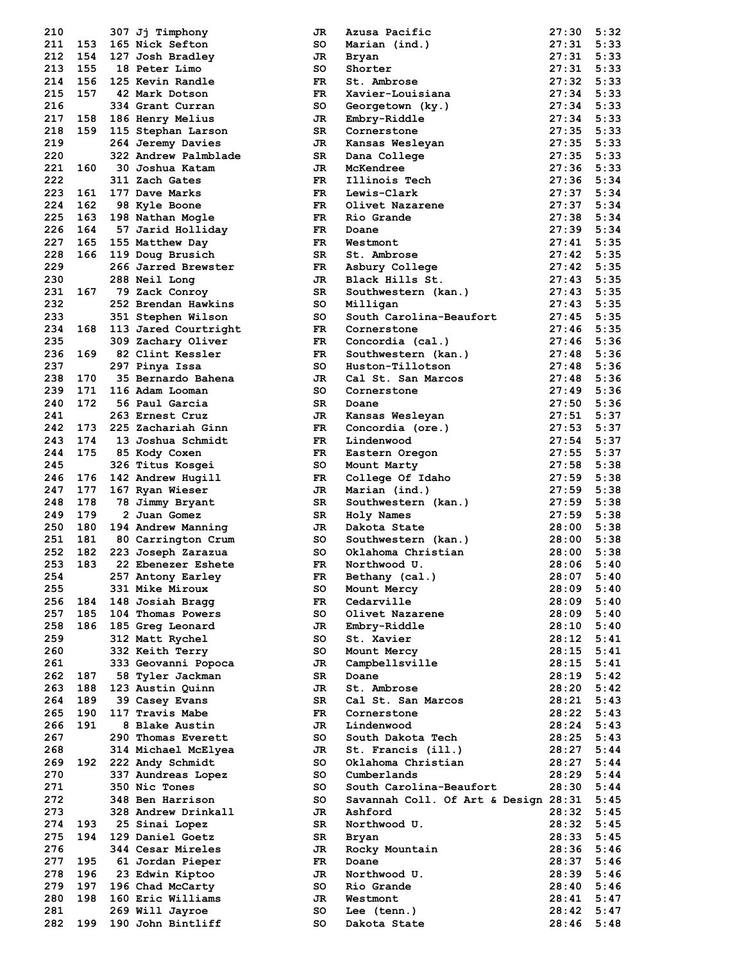| 210        |            |            | 307 Jj Timphony                       |
|------------|------------|------------|---------------------------------------|
| 211        | 153        |            | 165 Nick Sefton                       |
| 212        | 154        |            | 127 Josh Bradley                      |
| 213<br>214 | 155<br>156 |            | 18 Peter Limo<br>125 Kevin Randle     |
| 215        | 157        |            | 42 Mark Dotson                        |
| 216        |            |            | 334 Grant Curran                      |
| 217        | 158        |            | <b>186 Henry Melius</b>               |
| 218        | 159        | 115        | Stephan Larson                        |
| 219        |            |            | 264 Jeremy Davies                     |
| 220        |            | 322        | Andrew Palmblade                      |
| 221        | 160        |            | 30 Joshua Katam                       |
| 222        |            |            | 311 Zach Gates                        |
| 223        | 161        |            | 177 Dave Marks                        |
| 224<br>225 | 162<br>163 | 198        | 98 Kyle Boone<br>Nathan Mogle         |
| 226        | 164        |            | 57 Jarid Holliday                     |
| 227        | 165        |            | 155 Matthew Day                       |
| 228        | 166        |            | 119 Doug Brusich                      |
| 229        |            |            | 266 Jarred Brewster                   |
| 230        |            | 288        | Neil Long                             |
| 231        | 167        |            | 79 Zack Conroy                        |
| 232        |            | 252        | Brendan Hawkins                       |
| 233        |            |            | 351 Stephen Wilson                    |
| 234        | 168        |            | 113 Jared Courtright                  |
| 235        |            |            | 309 Zachary Oliver                    |
| 236<br>237 | 169        |            | 82 Clint Kessler<br>297 Pinya Issa    |
| 238        | 170        |            | 35 Bernardo Bahena                    |
| 239        | 171        |            | 116 Adam Looman                       |
| 240        | 172        |            | 56 Paul Garcia                        |
| 241        |            |            | 263 Ernest Cruz                       |
| 242        | 173        |            | 225 Zachariah Ginn                    |
| 243        | 174        |            | 13 Joshua Schmidt                     |
| 244        | 175        |            | 85 Kody Coxen                         |
| 245        |            | 326        | Titus Kosgei                          |
| 246        | 176        | 142        | Andrew Hugill                         |
| 247        | 177        |            | 167 Ryan Wieser                       |
| 248<br>249 | 178<br>179 | 78         | Jimmy Bryant<br>2 Juan Gomez          |
| 250        | 180        |            | 194 Andrew Manning                    |
| 251        | 181        |            | 80 Carrington Crum                    |
| 252        |            |            | 182 223 Joseph Zarazua                |
| 253        | 183        | 22         | Ebenezer Eshete                       |
| 254        |            | 257        | Antony Earley                         |
| 255        |            | 331        | Mike Miroux                           |
| 256        | 184        |            | 148 Josiah Bragg                      |
| 257        | 185        | 104        | Thomas Powers                         |
| 258<br>259 | 186        | 185<br>312 | Greg Leonard<br>Matt Rychel           |
| 260        |            | 332        | Keith Terry                           |
| 261        |            |            | 333 Geovanni Popoca                   |
| 262        | 187        | 58         | Tyler Jackman                         |
| 263        | 188        | 123        | Austin Quinn                          |
| 264        | 189        |            | 39 Casey Evans                        |
| 265        | 190        |            | 117 Travis Mabe                       |
| 266        | 191        | 8          | <b>Blake Austin</b>                   |
| 267        |            |            | 290 Thomas Everett                    |
| 268<br>269 | 192        | 314<br>222 | Michael McElyea<br>Andy Schmidt       |
| 270        |            | 337        | Aundreas Lopez                        |
| 271        |            | 350        | Nic Tones                             |
| 272        |            | 348        | Ben Harrison                          |
| 273        |            | 328        | Andrew Drinkall                       |
| 274        | 193        |            | 25 Sinai Lopez                        |
| 275        | 194        | 129        | Daniel Goetz                          |
| 276        |            |            | 344 Cesar Mireles                     |
| 277        | 195        | 61         | Jordan Pieper                         |
| 278        | 196        | 23         | Edwin Kiptoo                          |
| 279<br>280 | 197<br>198 |            | 196 Chad McCarty<br>160 Eric Williams |
| 281        |            |            | 269 Will Jayroe                       |
| 282        | 199        | 190        | John Bintliff                         |
|            |            |            |                                       |

| 210        |     | 307 Jj Timphony                      | JR       | Azusa Pacific                        | 27:30          | 5:32         |
|------------|-----|--------------------------------------|----------|--------------------------------------|----------------|--------------|
| 211        | 153 | 165 Nick Sefton                      | so       | Marian (ind.)                        | 27:31          | 5:33         |
| 212        | 154 | 127 Josh Bradley                     | JR       | Bryan                                | 27:31          | 5:33         |
| 213        | 155 | 18 Peter Limo                        | so       | Shorter                              | 27:31          | 5:33         |
| 214        | 156 | 125 Kevin Randle                     | FR.      | St. Ambrose                          | 27:32          | 5:33         |
| 215        | 157 |                                      |          |                                      |                |              |
|            |     | 42 Mark Dotson                       | FR.      | Xavier-Louisiana                     | 27:34          | 5:33         |
| 216        |     | 334 Grant Curran                     | so       | Georgetown (ky.)                     | 27:34          | 5:33         |
| 217        | 158 | 186 Henry Melius                     | JR       | Embry-Riddle                         | 27:34          | 5:33         |
| 218        | 159 | 115 Stephan Larson                   | SR.      | Cornerstone                          | 27:35          | 5:33         |
| 219        |     | 264 Jeremy Davies                    | JR       | Kansas Wesleyan                      | 27:35          | 5:33         |
| 220        |     | 322 Andrew Palmblade                 | SR       | Dana College                         | 27:35          | 5:33         |
| 221        | 160 | 30 Joshua Katam                      | JR       | McKendree                            | 27:36          | 5:33         |
| 222        |     | 311 Zach Gates                       | FR.      | Illinois Tech                        | 27:36          | 5:34         |
| 223        | 161 | 177 Dave Marks                       | FR.      | Lewis-Clark                          | 27:37          | 5:34         |
| 224        | 162 | 98 Kyle Boone                        | FR.      | Olivet Nazarene                      | 27:37          | 5:34         |
| 225        | 163 |                                      | FR.      | Rio Grande                           | 27:38          | 5:34         |
|            |     | 198 Nathan Mogle                     |          |                                      |                |              |
| 226        | 164 | 57 Jarid Holliday                    | FR       | Doane                                | 27:39          | 5:34         |
| 227        | 165 | 155 Matthew Day                      | FR.      | Westmont                             | 27:41          | 5:35         |
| 228        | 166 | 119 Doug Brusich                     | SR.      | St. Ambrose                          | 27:42          | 5:35         |
| 229        |     | 266 Jarred Brewster                  | FR       | Asbury College                       | 27:42          | 5:35         |
| 230        |     | 288 Neil Long                        | JR.      | Black Hills St.                      | 27:43          | 5:35         |
| 231        | 167 | 79 Zack Conroy                       | SR       | Southwestern (kan.)                  | 27:43          | 5:35         |
| 232        |     | 252 Brendan Hawkins                  | so       | Milligan                             | 27:43          | 5:35         |
| 233        |     | 351 Stephen Wilson                   | so       | South Carolina-Beaufort              | 27:45          | 5:35         |
| 234        | 168 | 113 Jared Courtright                 | FR.      | Cornerstone                          | 27:46          | 5:35         |
| 235        |     | 309 Zachary Oliver                   | FR.      | Concordia (cal.)                     | 27:46          | 5:36         |
|            | 169 |                                      |          |                                      |                |              |
| 236        |     | 82 Clint Kessler                     | FR.      | Southwestern (kan.)                  | 27:48          | 5:36         |
| 237        |     | 297 Pinya Issa                       | so       | Huston-Tillotson                     | 27:48          | 5:36         |
| 238        | 170 | 35 Bernardo Bahena                   | JR       | Cal St. San Marcos                   | 27:48          | 5:36         |
| 239        | 171 | 116 Adam Looman                      | so       | Cornerstone                          | 27:49          | 5:36         |
| 240        | 172 | 56 Paul Garcia                       | SR.      | Doane                                | 27:50          | 5:36         |
| 241        |     | 263 Ernest Cruz                      | JR       | Kansas Wesleyan                      | 27:51          | 5:37         |
| 242        | 173 | 225 Zachariah Ginn                   | FR       | Concordia (ore.)                     | 27:53          | 5:37         |
| 243        | 174 | 13 Joshua Schmidt                    | FR.      | Lindenwood                           | 27:54          | 5:37         |
| 244        | 175 | 85 Kody Coxen                        | FR.      | Eastern Oregon                       | 27:55          | 5:37         |
| 245        |     | 326 Titus Kosgei                     | so       | Mount Marty                          | 27:58          | 5:38         |
| 246        |     |                                      | FR.      |                                      | 27:59          | 5:38         |
|            | 176 | 142 Andrew Hugill                    |          | College Of Idaho                     |                |              |
| 247        | 177 | 167 Ryan Wieser                      | JR.      | Marian (ind.)                        | 27:59          | 5:38         |
| 248        | 178 | 78 Jimmy Bryant                      | SR.      | Southwestern (kan.)                  | 27:59          | 5:38         |
| 249        | 179 | 2 Juan Gomez                         | SR       | Holy Names                           | 27:59          | 5:38         |
| 250        | 180 | 194 Andrew Manning                   | JR.      | Dakota State                         | 28:00          | 5:38         |
| 251        | 181 | 80 Carrington Crum                   | so       | Southwestern (kan.)                  | 28:00          | 5:38         |
| 252        | 182 | 223 Joseph Zarazua                   | so       | Oklahoma Christian                   | 28:00          | 5:38         |
| 253        | 183 | 22 Ebenezer Eshete                   | FR.      | Northwood U.                         | 28:06          | 5:40         |
| 254        |     | 257 Antony Earley                    | FR       | Bethany (cal.)                       | 28:07          | 5:40         |
| 255        |     | 331 Mike Miroux                      | so       | Mount Mercy                          | 28:09          | 5:40         |
| 256        |     |                                      |          |                                      |                |              |
| 257        |     |                                      |          |                                      |                |              |
|            | 184 | 148 Josiah Bragg                     | FR       | Cedarville                           | 28:09          | 5:40         |
|            | 185 | 104 Thomas Powers                    | so       | Olivet Nazarene                      | 28:09          | 5:40         |
| 258        | 186 | 185 Greg Leonard                     | JR.      | Embry-Riddle                         | 28:10          | 5:40         |
| 259        |     | 312 Matt Rychel                      | so       | St. Xavier                           | 28:12          | 5:41         |
| 260        |     | 332 Keith Terry                      | so       | Mount Mercy                          | 28:15          | 5:41         |
| 261        |     | 333 Geovanni Popoca                  | JR       | Campbellsville                       | 28:15          | 5:41         |
| 262        | 187 | 58 Tyler Jackman                     | SR       | Doane                                | 28:19          | 5:42         |
| 263        | 188 | 123 Austin Quinn                     | JR       | St. Ambrose                          | 28:20          | 5:42         |
| 264        | 189 | 39 Casey Evans                       | SR       | Cal St. San Marcos                   | 28:21          | 5:43         |
| 265        | 190 | 117 Travis Mabe                      | FR.      | Cornerstone                          | 28:22          | 5:43         |
| 266        | 191 | 8 Blake Austin                       | JR       | Lindenwood                           | 28:24          | 5:43         |
|            |     |                                      |          |                                      |                |              |
| 267        |     | 290 Thomas Everett                   | so       | South Dakota Tech                    | 28:25          | 5:43         |
| 268        |     | 314 Michael McElyea                  | JR       | St. Francis (ill.)                   | 28:27          | 5:44         |
| 269        | 192 | 222 Andy Schmidt                     | so       | Oklahoma Christian                   | 28:27          | 5:44         |
| 270        |     | 337 Aundreas Lopez                   | so       | Cumberlands                          | 28:29          | 5:44         |
| 271        |     | 350 Nic Tones                        | so       | South Carolina-Beaufort              | 28:30          | 5:44         |
| 272        |     | 348 Ben Harrison                     | so       | Savannah Coll. Of Art & Design 28:31 |                | 5:45         |
| 273        |     | 328 Andrew Drinkall                  | JR       | Ashford                              | 28:32          | 5:45         |
| 274        | 193 | 25 Sinai Lopez                       | SR       | Northwood U.                         | 28:32          | 5:45         |
| 275        | 194 | 129 Daniel Goetz                     | SR       | Bryan                                | 28:33          | 5:45         |
| 276        |     | 344 Cesar Mireles                    | JR       | Rocky Mountain                       | 28:36          | 5:46         |
| 277        | 195 | 61 Jordan Pieper                     | FR.      | Doane                                | 28:37          | 5:46         |
| 278        | 196 |                                      | JR       | Northwood U.                         | 28:39          | 5:46         |
|            |     | 23 Edwin Kiptoo                      |          |                                      |                |              |
| 279        | 197 | 196 Chad McCarty                     | so       | Rio Grande                           | 28:40          | 5:46         |
| 280        | 198 | 160 Eric Williams                    | JR       | Westmont                             | 28:41          | 5:47         |
| 281<br>282 | 199 | 269 Will Jayroe<br>190 John Bintliff | so<br>so | Lee (tenn.)<br>Dakota State          | 28:42<br>28:46 | 5:47<br>5:48 |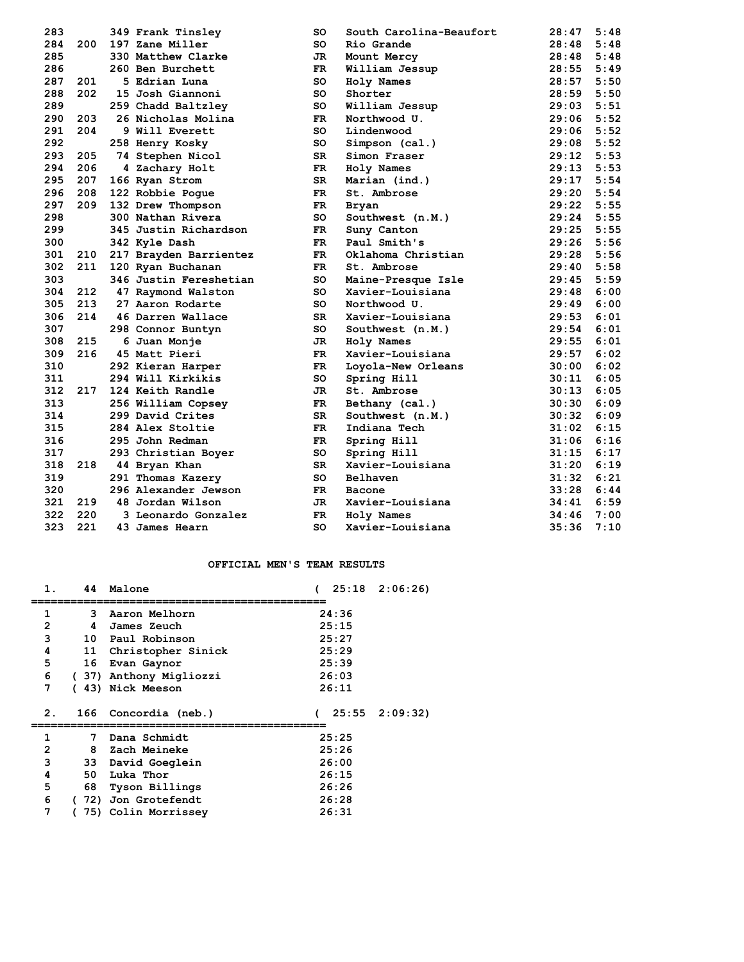| 283 |     | 349 Frank Tinsley      | so        | South Carolina-Beaufort | 28:47 | 5:48 |
|-----|-----|------------------------|-----------|-------------------------|-------|------|
| 284 | 200 | 197 Zane Miller        | so        | Rio Grande              | 28:48 | 5:48 |
| 285 |     | 330 Matthew Clarke     | JR        | Mount Mercy             | 28:48 | 5:48 |
| 286 |     | 260 Ben Burchett       | FR.       | William Jessup          | 28:55 | 5:49 |
| 287 | 201 | 5 Edrian Luna          | so        | Holy Names              | 28:57 | 5:50 |
| 288 | 202 | 15 Josh Giannoni       | SO        | Shorter                 | 28:59 | 5:50 |
| 289 |     | 259 Chadd Baltzley     | so        | William Jessup          | 29:03 | 5:51 |
| 290 | 203 | 26 Nicholas Molina     | FR.       | Northwood U.            | 29:06 | 5:52 |
| 291 | 204 | 9 Will Everett         | so        | Lindenwood              | 29:06 | 5:52 |
| 292 |     | 258 Henry Kosky        | so        | Simpson (cal.)          | 29:08 | 5:52 |
| 293 | 205 | 74 Stephen Nicol       | SR        | Simon Fraser            | 29:12 | 5:53 |
| 294 | 206 | 4 Zachary Holt         | FR        | Holy Names              | 29:13 | 5:53 |
| 295 | 207 | 166 Ryan Strom         | SR        | Marian (ind.)           | 29:17 | 5:54 |
| 296 | 208 | 122 Robbie Poque       | FR.       | St. Ambrose             | 29:20 | 5:54 |
| 297 | 209 | 132 Drew Thompson      | FR.       | <b>Bryan</b>            | 29:22 | 5:55 |
| 298 |     | 300 Nathan Rivera      | so        | Southwest (n.M.)        | 29:24 | 5:55 |
| 299 |     | 345 Justin Richardson  | FR        | Suny Canton             | 29:25 | 5:55 |
| 300 |     | 342 Kyle Dash          | FR.       | Paul Smith's            | 29:26 | 5:56 |
| 301 | 210 | 217 Brayden Barrientez | FR.       | Oklahoma Christian      | 29:28 | 5:56 |
| 302 | 211 | 120 Ryan Buchanan      | FR.       | St. Ambrose             | 29:40 | 5:58 |
| 303 |     | 346 Justin Fereshetian | so        | Maine-Presque Isle      | 29:45 | 5:59 |
| 304 | 212 | 47 Raymond Walston     | so        | Xavier-Louisiana        | 29:48 | 6:00 |
| 305 | 213 | 27 Aaron Rodarte       | SO        | Northwood U.            | 29:49 | 6:00 |
| 306 | 214 | 46 Darren Wallace      | SR        | Xavier-Louisiana        | 29:53 | 6:01 |
| 307 |     | 298 Connor Buntyn      | SO        | Southwest (n.M.)        | 29:54 | 6:01 |
| 308 | 215 | 6 Juan Monje           | JR        | Holy Names              | 29:55 | 6:01 |
| 309 | 216 | 45 Matt Pieri          | FR.       | Xavier-Louisiana        | 29:57 | 6:02 |
| 310 |     | 292 Kieran Harper      | FR        | Loyola-New Orleans      | 30:00 | 6:02 |
| 311 |     | 294 Will Kirkikis      | SO        | Spring Hill             | 30:11 | 6:05 |
| 312 | 217 | 124 Keith Randle       | JR        | St. Ambrose             | 30:13 | 6:05 |
| 313 |     | 256 William Copsey     | FR        | Bethany (cal.)          | 30:30 | 6:09 |
| 314 |     | 299 David Crites       | SR        | Southwest (n.M.)        | 30:32 | 6:09 |
| 315 |     | 284 Alex Stoltie       | <b>FR</b> | Indiana Tech            | 31:02 | 6:15 |
| 316 |     | 295 John Redman        | FR.       | Spring Hill             | 31:06 | 6:16 |
| 317 |     | 293 Christian Boyer    | SO        | Spring Hill             | 31:15 | 6:17 |
| 318 | 218 | 44 Bryan Khan          | SR        | Xavier-Louisiana        | 31:20 | 6:19 |
| 319 |     | 291 Thomas Kazery      | SO        | Belhaven                | 31:32 | 6:21 |
| 320 |     | 296 Alexander Jewson   | FR        | <b>Bacone</b>           | 33:28 | 6:44 |
| 321 | 219 | 48 Jordan Wilson       | JR        | Xavier-Louisiana        | 34:41 | 6:59 |
| 322 | 220 | 3 Leonardo Gonzalez    | FR        | Holy Names              | 34:46 | 7:00 |
| 323 | 221 | 43 James Hearn         | SO        | Xavier-Louisiana        | 35:36 | 7:10 |

### **OFFICIAL MEN'S TEAM RESULTS**

| 1.               | 44  | Malone                 | $25:18$ $2:06:26$ |
|------------------|-----|------------------------|-------------------|
| 1                | 3   | Aaron Melhorn          | 24:36             |
| 2                | 4   | James Zeuch            | 25:15             |
| 3                | 10  | Paul Robinson          | 25:27             |
| 4                | 11  | Christopher Sinick     | 25:29             |
| 5                | 16  | Evan Gaynor            | 25:39             |
| 6                |     | (37) Anthony Migliozzi | 26:03             |
| 7                |     | (43) Nick Meeson       | 26:11             |
|                  |     |                        |                   |
| $\overline{2}$ . | 166 | Concordia (neb.)       | $25:55$ $2:09:32$ |
| 1                | 7   | Dana Schmidt           | 25:25             |
| 2                | 8   | Zach Meineke           | 25:26             |
| 3                | 33  | David Goeglein         | 26:00             |
| 4                | 50  | Luka Thor              | 26:15             |
| 5                | 68  | Tyson Billings         | 26:26             |
| 6                | 72) | Jon Grotefendt         | 26:28             |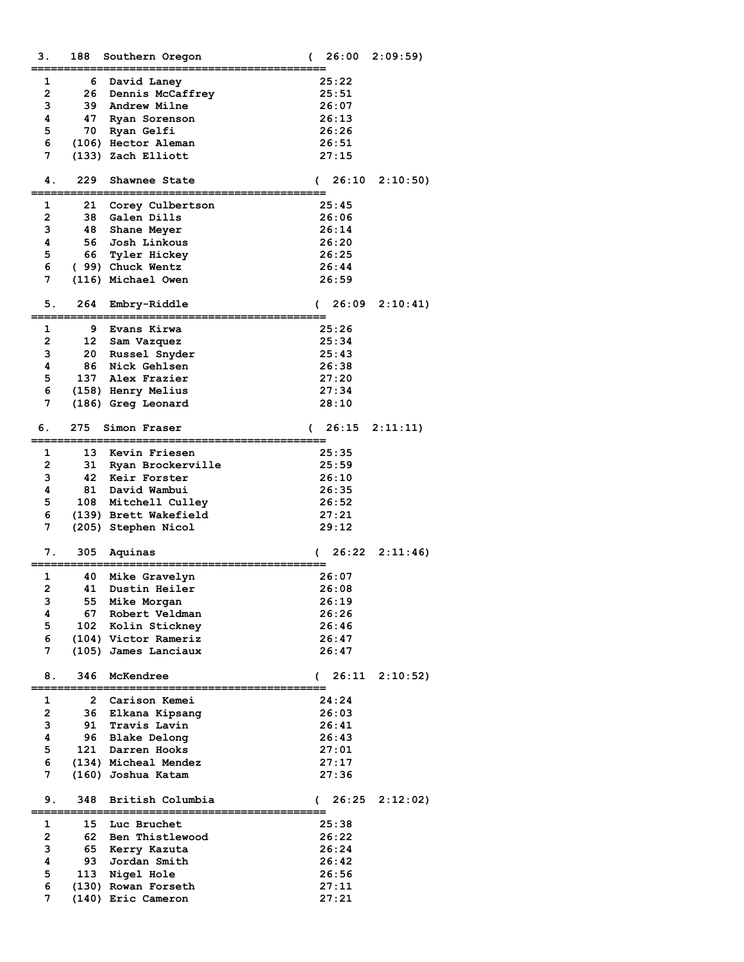| з.             | 188     | Southern Oregon                 | (            | 26:00 | 2:09:59  |
|----------------|---------|---------------------------------|--------------|-------|----------|
| 1              |         |                                 |              | 25:22 |          |
| $\overline{2}$ | 6<br>26 | David Laney<br>Dennis McCaffrey |              | 25:51 |          |
| 3              | 39      |                                 |              |       |          |
|                |         | Andrew Milne                    |              | 26:07 |          |
| 4              | 47      | Ryan Sorenson                   |              | 26:13 |          |
| 5              | 70      | Ryan Gelfi                      |              | 26:26 |          |
| 6              |         | (106) Hector Aleman             |              | 26:51 |          |
| 7              |         | (133) Zach Elliott              |              | 27:15 |          |
| 4.             | 229     | Shawnee State                   | $\sqrt{2}$   | 26:10 | 2:10:50) |
|                |         |                                 |              |       |          |
| 1              | 21      | Corey Culbertson                |              | 25:45 |          |
| $\mathbf{2}$   | 38      | Galen Dills                     |              | 26:06 |          |
| 3              | 48      | Shane Meyer                     |              | 26:14 |          |
| 4              | 56      | Josh Linkous                    |              | 26:20 |          |
| 5              | 66      | Tyler Hickey                    |              | 26:25 |          |
| 6              |         | (99) Chuck Wentz                |              | 26:44 |          |
| 7              |         | (116) Michael Owen              |              | 26:59 |          |
| 5.             | 264     | Embry-Riddle                    | $\sqrt{2}$   | 26:09 | 2:10:41  |
|                |         |                                 |              |       |          |
| 1              | 9       | Evans Kirwa                     |              | 25:26 |          |
| $\overline{2}$ | 12      | Sam Vazquez                     |              | 25:34 |          |
| 3              | 20      | Russel Snyder                   |              | 25:43 |          |
| 4              | 86      | Nick Gehlsen                    |              | 26:38 |          |
| 5              | 137     | Alex Frazier                    |              | 27:20 |          |
| 6              |         | (158) Henry Melius              |              | 27:34 |          |
| 7              |         | (186) Greg Leonard              |              | 28:10 |          |
| 6.             | 275     | Simon Fraser                    | $\sqrt{2}$   | 26:15 | 2:11:11) |
| 1              | 13      | Kevin Friesen                   |              | 25:35 |          |
| $\overline{2}$ | 31      | Ryan Brockerville               |              | 25:59 |          |
| 3              | 42      | Keir Forster                    |              | 26:10 |          |
| 4              | 81      | David Wambui                    |              | 26:35 |          |
| 5              | 108     | Mitchell Culley                 |              | 26:52 |          |
| 6              |         | (139) Brett Wakefield           |              | 27:21 |          |
| 7              |         | (205) Stephen Nicol             |              | 29:12 |          |
|                |         |                                 |              |       |          |
| 7.             | 305     | Aquinas                         | $\sqrt{2}$   | 26:22 | 2:11:46  |
| 1              | 40      | Mike Gravelyn                   |              | 26:07 |          |
| $\overline{2}$ | 41      | Dustin Heiler                   |              | 26:08 |          |
| з              | 55      | Mike Morgan                     |              | 26:19 |          |
| 4              | 67      | Robert Veldman                  |              | 26:26 |          |
| 5              |         | 102 Kolin Stickney              |              | 26:46 |          |
| 6              |         | (104) Victor Rameriz            |              | 26:47 |          |
| 7              |         | (105) James Lanciaux            |              | 26:47 |          |
| 8.             | 346     | McKendree                       | <sup>.</sup> | 26:11 | 2:10:52  |
| 1              | 2       | Carison Kemei                   |              | 24:24 |          |
| $\overline{2}$ | 36      | Elkana Kipsang                  |              | 26:03 |          |
| 3              | 91      | Travis Lavin                    |              | 26:41 |          |
| 4              | 96      | <b>Blake Delong</b>             |              | 26:43 |          |
| 5              | 121     | Darren Hooks                    |              | 27:01 |          |
| 6              |         | (134) Micheal Mendez            |              | 27:17 |          |
| 7              |         | (160) Joshua Katam              |              | 27:36 |          |
|                |         |                                 |              |       |          |
| 9.             | 348     | British Columbia                | $\sqrt{2}$   | 26:25 | 2:12:02  |
| 1              | 15      | Luc Bruchet                     |              | 25:38 |          |
| $\overline{2}$ | 62      | Ben Thistlewood                 |              | 26:22 |          |
| з              | 65      | Kerry Kazuta                    |              | 26:24 |          |
| 4              | 93      | Jordan Smith                    |              | 26:42 |          |
| 5              | 113     | Nigel Hole                      |              | 26:56 |          |
| 6              |         | (130) Rowan Forseth             |              | 27:11 |          |
| 7              |         | (140) Eric Cameron              |              | 27:21 |          |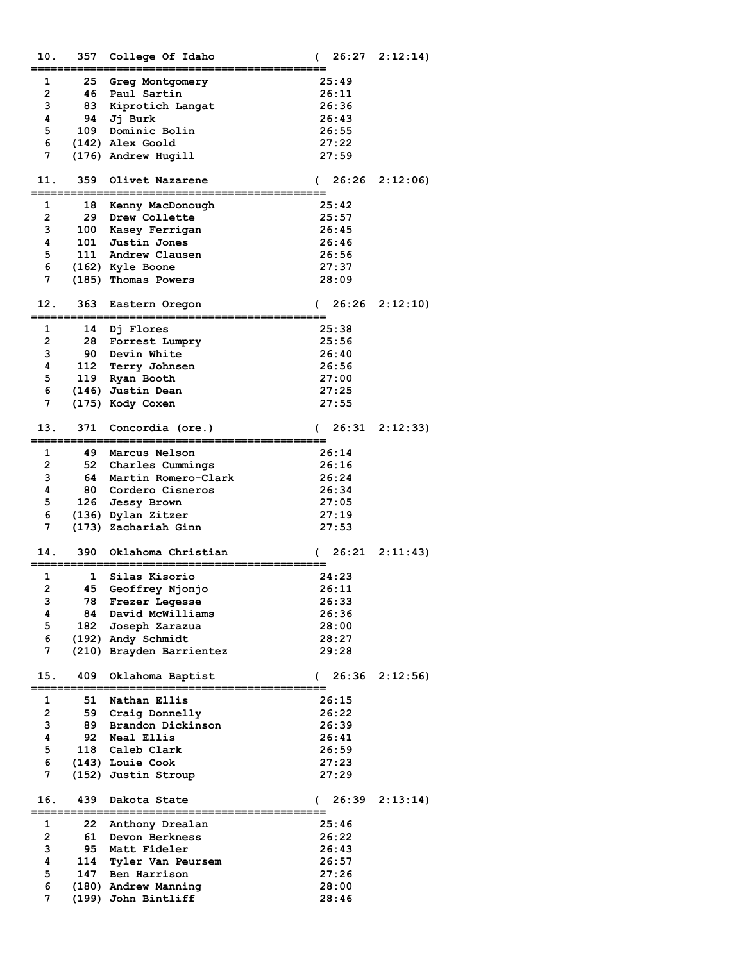| 10. | 357                | College Of Idaho<br>.===============<br>-----           | $\mathcal{C}$       | $26:27$ $2:12:14$ |
|-----|--------------------|---------------------------------------------------------|---------------------|-------------------|
| 1   | 25                 | <b>Greg Montgomery</b>                                  | 25:49               |                   |
| 2   | 46                 | Paul Sartin                                             | 26:11               |                   |
| з   |                    | 83 Kiprotich Langat                                     | 26:36               |                   |
| 4   |                    | 94 Jj Burk                                              | 26:43               |                   |
| 5   |                    | 109 Dominic Bolin                                       | 26:55               |                   |
| 6   |                    | (142) Alex Goold                                        | 27:22               |                   |
| 7   |                    | (176) Andrew Hugill                                     | 27:59               |                   |
|     |                    |                                                         |                     |                   |
| 11. | 359                | Olivet Nazarene                                         | 26:26<br>$\sqrt{2}$ | 2:12:06           |
|     |                    | -------------------------------                         |                     |                   |
| 1   | 18                 | Kenny MacDonough                                        | 25:42               |                   |
| 2   | 29                 | <b>Drew Collette</b>                                    | 25:57               |                   |
| 3   |                    | 100 Kasey Ferrigan                                      | 26:45               |                   |
| 4   |                    | 101 Justin Jones                                        | 26:46               |                   |
| 5   |                    | 111 Andrew Clausen                                      | 26:56               |                   |
| 6   |                    | (162) Kyle Boone                                        | 27:37               |                   |
| 7   |                    | (185) Thomas Powers                                     | 28:09               |                   |
| 12. | 363<br>:========== | Eastern Oregon<br>:===================                  | $\epsilon$          | $26:26$ $2:12:10$ |
| 1   | 14                 | Dj Flores                                               | 25:38               |                   |
| 2   |                    | 28 Forrest Lumpry                                       | 25:56               |                   |
| 3   |                    | <b>90 Devin White</b>                                   | 26:40               |                   |
| 4   |                    | 112 Terry Johnsen                                       | 26:56               |                   |
| 5   |                    | 119 Ryan Booth                                          | 27:00               |                   |
| 6   |                    | (146) Justin Dean                                       | 27:25               |                   |
| 7   |                    | (175) Kody Coxen                                        | 27:55               |                   |
|     |                    |                                                         |                     |                   |
| 13. | 371                | Concordia (ore.)<br>-----------------<br>.============= | 26:31<br>$\sqrt{2}$ | 2:12:33           |
| 1   | 49                 | Marcus Nelson                                           | 26:14               |                   |
| 2   |                    | 52 Charles Cummings                                     | 26:16               |                   |
| 3   |                    | 64 Martin Romero-Clark                                  | 26:24               |                   |
| 4   |                    | 80 Cordero Cisneros                                     | 26:34               |                   |
| 5   |                    | 126 Jessy Brown                                         | 27:05               |                   |
| 6   |                    | (136) Dylan Zitzer                                      | 27:19               |                   |
| 7   |                    | (173) Zachariah Ginn                                    | 27:53               |                   |
| 14. | 390                | Oklahoma Christian                                      | $\epsilon$          | $26:21$ $2:11:43$ |
|     |                    | ---------------                                         |                     |                   |
| 1   | 1                  | Silas Kisorio                                           | 24:23               |                   |
| 2   | 45                 | Geoffrey Njonjo                                         | 26:11               |                   |
| з   | 78                 | Frezer Legesse                                          | 26:33               |                   |
| 4   | 84                 | David McWilliams                                        | 26:36               |                   |
| 5   | 182                | Joseph Zarazua                                          | 28:00               |                   |
| 6   |                    | (192) Andy Schmidt                                      | 28:27               |                   |
| 7   |                    | (210) Brayden Barrientez                                | 29:28               |                   |
| 15. | 409                | Oklahoma Baptist                                        | $\sqrt{2}$          | $26:36$ $2:12:56$ |
| 1   | 51                 | Nathan Ellis                                            | 26:15               |                   |
| 2   | 59                 | Craig Donnelly                                          | 26:22               |                   |
| 3   | 89                 | Brandon Dickinson                                       | 26:39               |                   |
| 4   | 92                 | Neal Ellis                                              | 26:41               |                   |
| 5   | 118                | Caleb Clark                                             | 26:59               |                   |
| 6   |                    | (143) Louie Cook                                        | 27:23               |                   |
| 7   |                    | (152) Justin Stroup                                     | 27:29               |                   |
|     |                    |                                                         |                     |                   |
| 16. | 439                | Dakota State                                            | 26:39<br>$\sqrt{2}$ | 2:13:14           |
| 1   | 22                 | Anthony Drealan                                         | 25:46               |                   |
| 2   | 61                 | Devon Berkness                                          | 26:22               |                   |
| 3   | 95                 | Matt Fideler                                            | 26:43               |                   |
| 4   | 114                | Tyler Van Peursem                                       | 26:57               |                   |
| 5   | 147                | Ben Harrison                                            | 27:26               |                   |
| 6   |                    | (180) Andrew Manning                                    | 28:00               |                   |
| 7   |                    | (199) John Bintliff                                     | 28:46               |                   |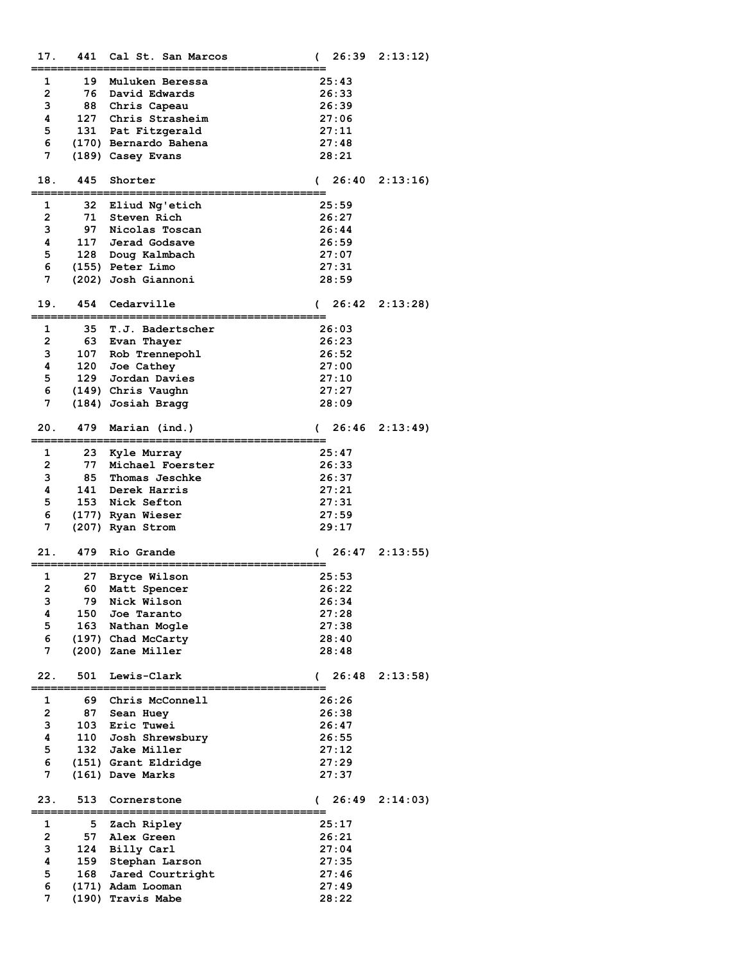| 17.            | 441 | Cal St. San Marcos    | 26:39<br>$\epsilon$ | 2:13:12) |
|----------------|-----|-----------------------|---------------------|----------|
| 1              | 19  | Muluken Beressa       | 25:43               |          |
| $\overline{2}$ | 76  | David Edwards         | 26:33               |          |
| 3              | 88  | Chris Capeau          | 26:39               |          |
| 4              |     | 127 Chris Strasheim   | 27:06               |          |
| 5              | 131 | Pat Fitzgerald        | 27:11               |          |
| 6              |     | (170) Bernardo Bahena | 27:48               |          |
| 7              |     | (189) Casey Evans     | 28:21               |          |
|                |     |                       |                     |          |
| 18.            | 445 | Shorter               | 26:40<br>$\sqrt{2}$ | 2:13:16  |
|                |     |                       |                     |          |
| 1              | 32  | Eliud Ng'etich        | 25:59               |          |
| $\overline{2}$ | 71  | Steven Rich           | 26:27               |          |
| 3              | 97  | Nicolas Toscan        | 26:44               |          |
| 4              |     | 117 Jerad Godsave     | 26:59               |          |
| 5              | 128 | Doug Kalmbach         | 27:07               |          |
| 6              |     | (155) Peter Limo      | 27:31               |          |
| 7              |     | (202) Josh Giannoni   | 28:59               |          |
| 19.            | 454 | Cedarville            | 26:42<br>$\sqrt{2}$ | 2:13:28  |
|                |     |                       |                     |          |
| 1              | 35  | T.J. Badertscher      | 26:03               |          |
| $\overline{2}$ | 63  | Evan Thayer           | 26:23               |          |
| 3              | 107 | Rob Trennepohl        | 26:52               |          |
| 4              | 120 | Joe Cathey            | 27:00               |          |
| 5              |     | 129 Jordan Davies     | 27:10               |          |
| 6              |     | (149) Chris Vaughn    | 27:27               |          |
| 7              |     | (184) Josiah Bragg    | 28:09               |          |
| 20.            | 479 | Marian (ind.)         | 26:46<br>$\sqrt{2}$ | 2:13:49  |
|                |     |                       |                     |          |
| 1              | 23  | Kyle Murray           | 25:47               |          |
| $\overline{2}$ | 77  | Michael Foerster      | 26:33               |          |
| 3              | 85  | Thomas Jeschke        | 26:37               |          |
| 4              | 141 | Derek Harris          | 27:21               |          |
| 5              | 153 | Nick Sefton           | 27:31               |          |
| 6              |     | (177) Ryan Wieser     | 27:59               |          |
| 7              |     | (207) Ryan Strom      | 29:17               |          |
| 21.            | 479 | Rio Grande            | 26:47<br>(          | 2:13:55  |
|                |     |                       |                     |          |
| 1              | 27  | Bryce Wilson          | 25:53               |          |
| 2              | 60  | Matt Spencer          | 26:22               |          |
| 3              | 79  | Nick Wilson           | 26:34               |          |
| 4              | 150 | Joe Taranto           | 27:28               |          |
| 5              | 163 | Nathan Mogle          | 27:38               |          |
| 6              |     | (197) Chad McCarty    | 28:40               |          |
| 7              |     | (200) Zane Miller     | 28:48               |          |
| 22.            | 501 | Lewis-Clark           | 26:48<br>$\sqrt{2}$ | 2:13:58  |
|                |     |                       |                     |          |
| 1              | 69  | Chris McConnell       | 26:26               |          |
| $\overline{2}$ | 87  | Sean Huey             | 26:38               |          |
| 3              | 103 | Eric Tuwei            | 26:47               |          |
| 4              |     | 110 Josh Shrewsbury   | 26:55               |          |
| 5              | 132 | Jake Miller           | 27:12               |          |
| 6              |     | (151) Grant Eldridge  | 27:29               |          |
| 7              |     | (161) Dave Marks      | 27:37               |          |
| 23.            | 513 | Cornerstone           | 26:49<br>$\sqrt{2}$ | 2:14:03  |
| 1              | 5   | Zach Ripley           | 25:17               |          |
| $\overline{2}$ | 57  | Alex Green            | 26:21               |          |
| 3              | 124 | Billy Carl            | 27:04               |          |
| 4              | 159 | Stephan Larson        | 27:35               |          |
| 5              | 168 | Jared Courtright      | 27:46               |          |
| 6              |     | (171) Adam Looman     | 27:49               |          |
| 7              |     | (190) Travis Mabe     | 28:22               |          |
|                |     |                       |                     |          |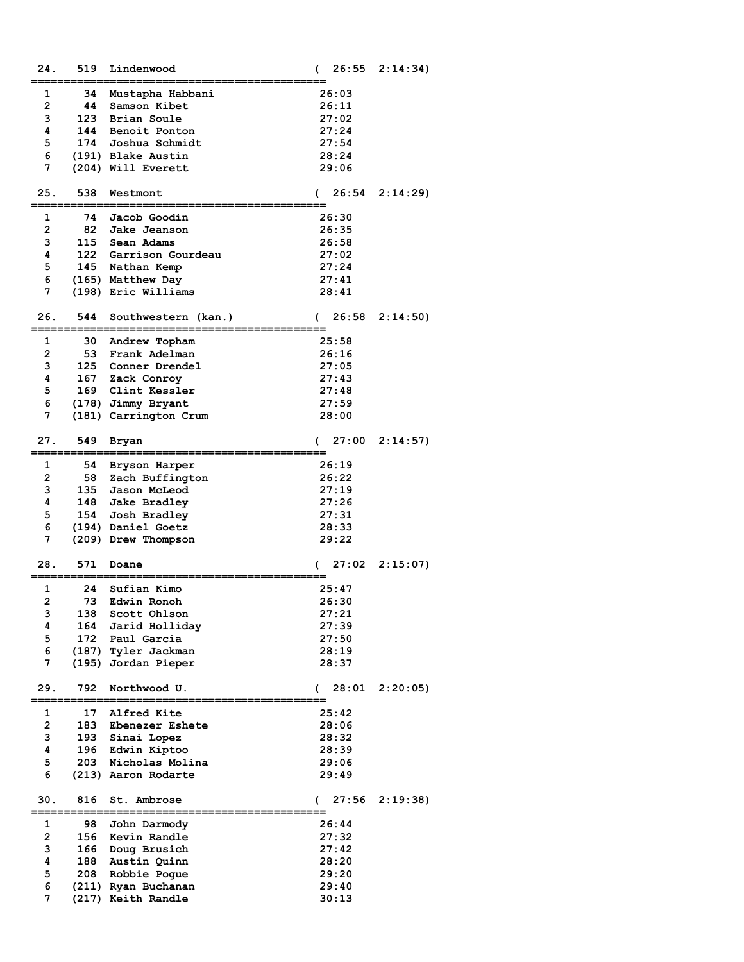| 24.                 | 519 | Lindenwood                             | €             | 26:55          | 2:14:34) |
|---------------------|-----|----------------------------------------|---------------|----------------|----------|
|                     |     |                                        |               |                |          |
| 1                   | 34  | Mustapha Habbani                       |               | 26:03          |          |
| $\overline{2}$      | 44  | Samson Kibet                           |               | 26:11          |          |
| 3                   | 123 | Brian Soule                            |               | 27:02          |          |
| 4<br>5              | 144 | Benoit Ponton                          |               | 27:24          |          |
| 6                   | 174 | Joshua Schmidt                         |               | 27:54          |          |
| 7                   |     | (191) Blake Austin                     |               | 28:24          |          |
|                     |     | (204) Will Everett                     |               | 29:06          |          |
| 25.                 | 538 | Westmont                               |               | 26:54          | 2:14:29  |
|                     |     |                                        | $\mathcal{L}$ |                |          |
| 1                   | 74  | Jacob Goodin                           |               | 26:30          |          |
| $\overline{2}$      | 82  | Jake Jeanson                           |               | 26:35          |          |
| 3                   | 115 | Sean Adams                             |               | 26:58          |          |
| 4                   |     | 122 Garrison Gourdeau                  |               | 27:02          |          |
| 5                   |     | 145 Nathan Kemp                        |               | 27:24          |          |
| 6                   |     | (165) Matthew Day                      |               | 27:41          |          |
| 7                   |     | (198) Eric Williams                    |               | 28:41          |          |
|                     |     |                                        |               |                |          |
| 26.                 | 544 | Southwestern (kan.)                    | $\sqrt{2}$    | 26:58          | 2:14:50) |
|                     |     |                                        |               |                |          |
| 1                   | 30  | Andrew Topham                          |               | 25:58          |          |
| $\overline{2}$      | 53  | Frank Adelman                          |               | 26:16          |          |
| 3                   | 125 | Conner Drendel                         |               | 27:05          |          |
| 4                   |     | 167 Zack Conroy                        |               | 27:43          |          |
| 5                   |     | 169 Clint Kessler                      |               | 27:48          |          |
| 6                   |     | (178) Jimmy Bryant                     |               | 27:59          |          |
| 7                   |     | (181) Carrington Crum                  |               | 28:00          |          |
|                     |     |                                        |               |                |          |
| 27.                 | 549 | Bryan                                  | C             | 27:00          | 2:14:57  |
|                     |     |                                        |               |                |          |
| 1                   | 54  | Bryson Harper                          |               | 26:19          |          |
| $\overline{2}$      | 58  | Zach Buffington                        |               | 26:22          |          |
| 3                   | 135 | Jason McLeod                           |               | 27:19          |          |
| 4                   |     | 148 Jake Bradley                       |               | 27:26          |          |
| 5                   | 154 | Josh Bradley                           |               | 27:31          |          |
| 6                   |     | (194) Daniel Goetz                     |               | 28:33          |          |
| 7                   |     | (209) Drew Thompson                    |               | 29:22          |          |
|                     |     |                                        |               |                |          |
| 28.                 | 571 | Doane                                  |               | 27:02          | 2:15:07  |
|                     |     |                                        |               |                |          |
| 1<br>$\overline{2}$ | 24  | Sufian Kimo                            |               | 25:47          |          |
|                     | 73  | Edwin Ronoh                            |               | 26:30          |          |
| з<br>4              | 138 | Scott Ohlson                           |               | 27:21          |          |
| 5                   | 164 | Jarid Holliday                         |               | 27:39          |          |
| 6                   |     | 172 Paul Garcia<br>(187) Tyler Jackman |               | 27:50<br>28:19 |          |
| 7                   |     | (195) Jordan Pieper                    |               | 28:37          |          |
|                     |     |                                        |               |                |          |
| 29.                 | 792 | Northwood U.                           | €             | 28:01          | 2:20:05  |
|                     |     |                                        |               |                |          |
| 1                   | 17  | Alfred Kite                            |               | 25:42          |          |
| $\overline{2}$      | 183 | Ebenezer Eshete                        |               | 28:06          |          |
| 3                   |     | 193 Sinai Lopez                        |               | 28:32          |          |
| 4                   | 196 | Edwin Kiptoo                           |               | 28:39          |          |
| 5                   | 203 | Nicholas Molina                        |               | 29:06          |          |
| 6                   |     | (213) Aaron Rodarte                    |               | 29:49          |          |
|                     |     |                                        |               |                |          |
| 30.                 | 816 | St. Ambrose                            | $\epsilon$    | 27:56          | 2:19:38  |
|                     |     |                                        |               |                |          |
| 1                   | 98  | John Darmody                           |               | 26:44          |          |
| 2                   | 156 | Kevin Randle                           |               | 27:32          |          |
| з                   | 166 | Doug Brusich                           |               | 27:42          |          |
| 4                   |     | 188 Austin Quinn                       |               | 28:20          |          |
| 5                   | 208 | Robbie Pogue                           |               | 29:20          |          |
| 6                   |     | (211) Ryan Buchanan                    |               | 29:40          |          |
| 7                   |     | (217) Keith Randle                     |               | 30:13          |          |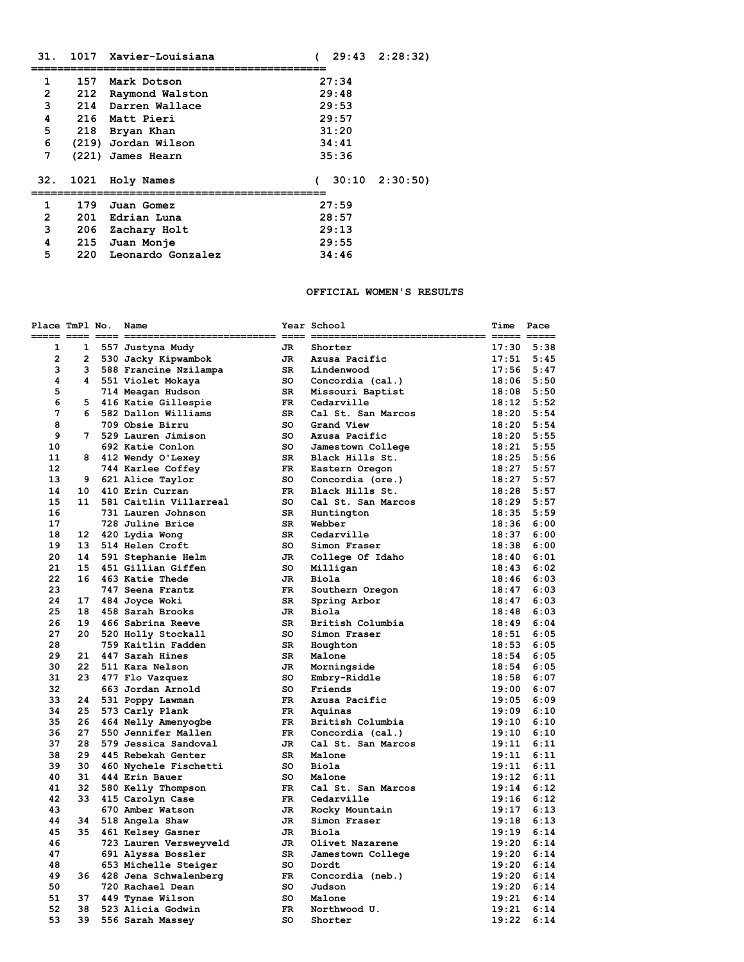| 31.            |       | 1017 Xavier-Louisiana |            |       | (29:432:28:32)    |
|----------------|-------|-----------------------|------------|-------|-------------------|
|                |       |                       |            |       |                   |
| 1              | 157   | Mark Dotson           |            | 27:34 |                   |
| $\overline{2}$ | 212   | Raymond Walston       |            | 29:48 |                   |
| 3              | 214   | Darren Wallace        |            | 29:53 |                   |
| 4              | 216   | Matt Pieri            |            | 29:57 |                   |
| 5              |       | 218 Bryan Khan        |            | 31:20 |                   |
| 6              |       | (219) Jordan Wilson   |            | 34:41 |                   |
| 7              | (221) | James Hearn           |            | 35:36 |                   |
|                |       |                       |            |       |                   |
| 32.            | 1021  | Holy Names            | $\epsilon$ |       | $30:10$ $2:30:50$ |
|                |       |                       |            |       |                   |
| 1              |       | 179 Juan Gomez        |            | 27:59 |                   |
| $\overline{2}$ |       | 201 Edrian Luna       |            | 28:57 |                   |
| 3              |       | 206 Zachary Holt      |            | 29:13 |                   |
| 4              | 215   | Juan Monje            |            | 29:55 |                   |
| 5              | 220   | Leonardo Gonzalez     |            | 34:46 |                   |

#### **OFFICIAL WOMEN'S RESULTS**

| Place TmPl No. |    | Name                     |           | Year School        | Time           | Pace           |
|----------------|----|--------------------------|-----------|--------------------|----------------|----------------|
|                |    |                          |           |                    |                |                |
| 1              | 1  | 557 Justyna Mudy         | JR.       | Shorter            | 17:30          | 5:38           |
| 2              |    | 2 530 Jacky Kipwambok    | JR        | Azusa Pacific      | $17:51$ $5:45$ |                |
| 3              | 3  | 588 Francine Nzilampa    | SR -      | Lindenwood         | $17:56$ 5:47   |                |
| 4              |    | 4 551 Violet Mokaya      | SO .      | Concordia (cal.)   | $18:06$ 5:50   |                |
| 5              |    | 714 Meagan Hudson        | SR .      | Missouri Baptist   | $18:08$ 5:50   |                |
| 6              | 5. | 416 Katie Gillespie      | FR 1      | Cedarville         | $18:12$ 5:52   |                |
| 7              | 6  | 582 Dallon Williams      | SR        | Cal St. San Marcos | $18:20$ 5:54   |                |
| 8              |    | 709 Obsie Birru          | SO.       | Grand View         |                | $18:20$ 5:54   |
| 9              |    | 7 529 Lauren Jimison     | so        | Azusa Pacific      | $18:20$ 5:55   |                |
| 10             |    | 692 Katie Conlon         | so        | Jamestown College  | $18:21$ 5:55   |                |
| 11             |    | 8 412 Wendy O'Lexey      | <b>SR</b> | Black Hills St.    | $18:25$ 5:56   |                |
| 12             |    | 744 Karlee Coffey        | FR        | Eastern Oregon     | $18:27$ 5:57   |                |
| 13             |    | 9 621 Alice Taylor       | so        | Concordia (ore.)   | $18:27$ 5:57   |                |
| 14             | 10 | 410 Erin Curran          | FR        | Black Hills St.    | $18:28$ 5:57   |                |
| 15             | 11 | 581 Caitlin Villarreal   | so        | Cal St. San Marcos | $18:29$ 5:57   |                |
| 16             |    | 731 Lauren Johnson       | SR        | Huntington         | $18:35$ $5:59$ |                |
| 17             |    | 728 Juline Brice         | SR        | Webber             | $18:36$ $6:00$ |                |
| 18             |    | 12 420 Lydia Wong        | SR.       | Cedarville         | 18:37          | 6:00           |
| 19             |    | 13 514 Helen Croft       | SO.       | Simon Fraser       | $18:38$ 6:00   |                |
| 20             |    | 14 591 Stephanie Helm    | JR        | College Of Idaho   | $18:40$ $6:01$ |                |
| 21             | 15 | 451 Gillian Giffen       | SO.       | Milligan           | $18:43$ $6:02$ |                |
| 22             | 16 | 463 Katie Thede          | JR.       | Biola              | 18:46          | 6:03           |
| 23             |    | 747 Seena Frantz         | FR.       | Southern Oregon    | 18:47          | 6:03           |
| 24             | 17 | 484 Joyce Woki           | SR        | Spring Arbor       | 18:47          | 6:03           |
| 25             | 18 | 458 Sarah Brooks         | JR.       | Biola              | 18:48          | 6:03           |
| 26             | 19 | 466 Sabrina Reeve        | SR.       | British Columbia   | $18:49$ 6:04   |                |
| 27             |    | 20 520 Holly Stockall    | so        | Simon Fraser       | $18:51$ $6:05$ |                |
| 28             |    | 759 Kaitlin Fadden       | SR.       | Houghton           | $18:53$ 6:05   |                |
| 29             | 21 | 447 Sarah Hines          | SR        | Malone             | $18:54$ 6:05   |                |
| 30             |    | 22 511 Kara Nelson       | JR        | Morningside        | $18:54$ 6:05   |                |
| 31             |    | 23 477 Flo Vazquez       | so        | Embry-Riddle       | 18:58 6:07     |                |
| 32             |    | 663 Jordan Arnold        | SO.       | Friends            | 19:00          | 6:07           |
| 33             |    | 24 531 Poppy Lawman      | FR        | Azusa Pacific      | $19:05$ 6:09   |                |
| 34             | 25 | 573 Carly Plank          | FR.       | Aquinas            | $19:09$ 6:10   |                |
| 35             |    | 26 464 Nelly Amenyogbe   | FR 1      | British Columbia   | $19:10$ $6:10$ |                |
| 36             | 27 | 550 Jennifer Mallen      | FR.       | Concordia (cal.)   | 19:10          | 6:10           |
| 37             | 28 | 579 Jessica Sandoval     | JR        | Cal St. San Marcos | $19:11$ $6:11$ |                |
| 38             | 29 | 445 Rebekah Genter       | SR        | Malone             | $19:11$ $6:11$ |                |
| 39             | 30 | 460 Nychele Fischetti    | SO.       | Biola              | $19:11$ $6:11$ |                |
| 40             | 31 | 444 Erin Bauer           | SO.       | Malone             | $19:12$ $6:11$ |                |
| 41             |    | 32 580 Kelly Thompson    | FR        | Cal St. San Marcos |                | $19:14$ $6:12$ |
| 42             |    | 33 415 Carolyn Case      | FR        | Cedarville         | $19:16$ $6:12$ |                |
| 43             |    | 670 Amber Watson         | JR        | Rocky Mountain     | 19:17          | 6:13           |
| 44             |    | 34 518 Angela Shaw       | JR        | Simon Fraser       |                | $19:18$ $6:13$ |
| 45             |    | 35 461 Kelsey Gasner     | JR        | Biola              | $19:19$ $6:14$ |                |
| 46             |    | 723 Lauren Versweyveld   | JR        | Olivet Nazarene    | $19:20$ $6:14$ |                |
| 47             |    | 691 Alyssa Bossler       | <b>SR</b> | Jamestown College  | 19:20          | 6:14           |
| 48             |    | 653 Michelle Steiger     | so        | Dordt              | $19:20$ 6:14   |                |
| 49             |    | 36 428 Jena Schwalenberg | FR.       | Concordia (neb.)   | 19:20          | 6:14           |
| 50             |    | 720 Rachael Dean         | so        | Judson             | 19:20          | 6:14           |
| 51             | 37 | 449 Tynae Wilson         | SO.       | Malone             | 19:21          | 6:14           |
| 52             | 38 | 523 Alicia Godwin        | FR        | Northwood U.       | 19:21          | 6:14           |
| 53             | 39 | 556 Sarah Massey         | SO.       | Shorter            | 19:22          | 6:14           |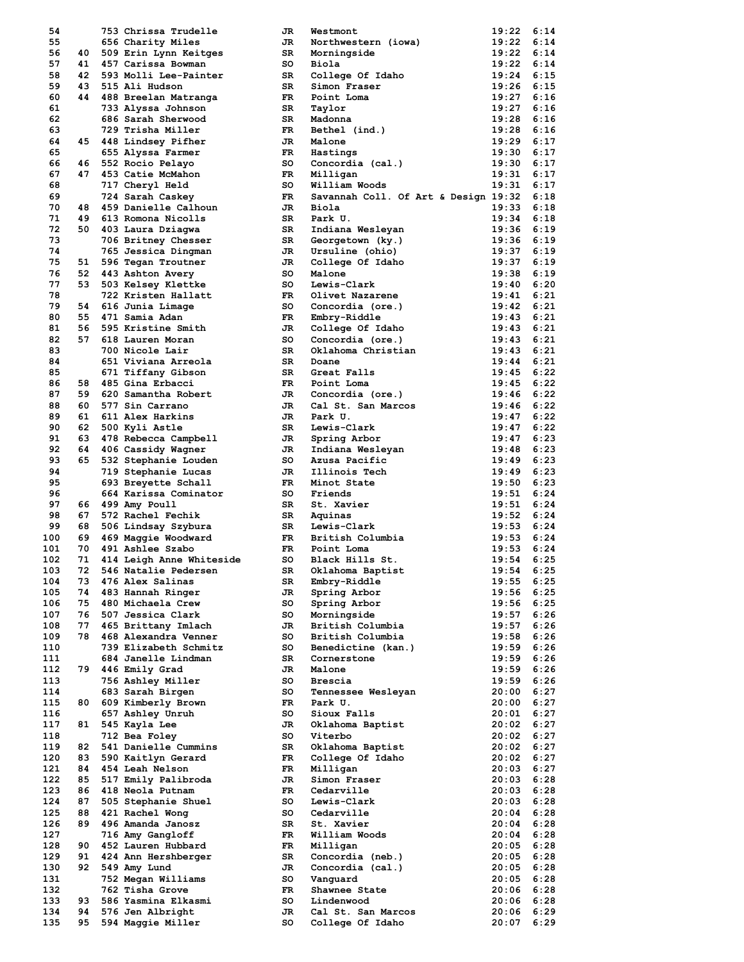| 54         |          | 753 Chrissa Trudelle     | JR       | Westmont                                  | 19:22          | 6:14         |
|------------|----------|--------------------------|----------|-------------------------------------------|----------------|--------------|
| 55         |          | 656 Charity Miles        | JR       | Northwestern (iowa)                       | 19:22          | 6:14         |
| 56         |          | 40 509 Erin Lynn Keitges | SR I     | Morningside                               | 19:22          | 6:14         |
| 57         |          | 41 457 Carissa Bowman    | so       | Biola                                     | 19:22          | 6:14         |
| 58         |          | 42 593 Molli Lee-Painter | SR.      | College Of Idaho                          | 19:24          | 6:15         |
| 59         |          | 43 515 Ali Hudson        | SR       | Simon Fraser                              | $19:26$ 6:15   |              |
| 60         |          | 44 488 Breelan Matranga  | FR.      | Point Loma                                | 19:27          | 6:16         |
| 61         |          | 733 Alyssa Johnson       | SR       | Taylor                                    | 19:27          | 6:16         |
| 62         |          | 686 Sarah Sherwood       | SR       | Madonna                                   | 19:28          | 6:16         |
| 63         |          | 729 Trisha Miller        | FR.      | Bethel (ind.)                             | $19:28$ 6:16   |              |
| 64         |          | 45 448 Lindsey Pifher    | JR       | Malone                                    | $19:29$ 6:17   |              |
| 65         |          | 655 Alyssa Farmer        | FR.      | Hastings                                  | $19:30$ $6:17$ |              |
| 66         |          | 46 552 Rocio Pelayo      | so l     | Concordia (cal.)                          | $19:30$ $6:17$ |              |
| 67         |          | 47 453 Catie McMahon     | FR       | Milligan                                  | $19:31$ $6:17$ |              |
| 68         |          | 717 Cheryl Held          | so       | William Woods                             | $19:31$ $6:17$ |              |
| 69         |          | 724 Sarah Caskey         | FR -     | Savannah Coll. Of Art & Design 19:32 6:18 |                |              |
| 70         | 48       | 459 Danielle Calhoun     | JR I     | Biola                                     | 19:33          | 6:18         |
| 71         |          | 49 613 Romona Nicolls    | SR       | Park U.                                   | 19:34          | 6:18         |
| 72         |          | 50 403 Laura Dziagwa     | SR I     | Indiana Wesleyan                          | $19:36$ $6:19$ |              |
| 73         |          |                          | SR I     |                                           | $19:36$ $6:19$ |              |
| 74         |          | 706 Britney Chesser      |          | Georgetown (ky.)                          | 19:37          | 6:19         |
|            |          | 765 Jessica Dingman      | JR I     | Ursuline (ohio)                           |                |              |
| 75         |          | 51 596 Tegan Troutner    | JR       | College Of Idaho                          | 19:37          | 6:19         |
| 76         |          | 52 443 Ashton Avery      | so       | Malone                                    | $19:38$ 6:19   |              |
| 77         |          | 53 503 Kelsey Klettke    | so       | Lewis-Clark                               | $19:40$ 6:20   |              |
| 78         |          | 722 Kristen Hallatt      | FR 1     | Olivet Nazarene                           | $19:41$ $6:21$ |              |
| 79         |          | 54 616 Junia Limage      | so       | Concordia (ore.)                          | $19:42$ 6:21   |              |
| 80         | 55       | 471 Samia Adan           | FR 1     | Embry-Riddle                              | $19:43$ $6:21$ |              |
| 81         |          | 56 595 Kristine Smith    | JR       | College Of Idaho                          | $19:43$ 6:21   |              |
| 82         | 57       | 618 Lauren Moran         | so       | Concordia (ore.)                          | $19:43$ $6:21$ |              |
| 83         |          | 700 Nicole Lair          | SR       | Oklahoma Christian                        | $19:43$ $6:21$ |              |
| 84         |          | 651 Viviana Arreola      | SR       | Doane                                     | $19:44$ 6:21   |              |
| 85         |          | 671 Tiffany Gibson       | SR       | Great Falls                               | $19:45$ 6:22   |              |
| 86         |          | 58 485 Gina Erbacci      | FR       | Point Loma                                | $19:45$ 6:22   |              |
| 87         |          | 59 620 Samantha Robert   | JR       | Concordia (ore.)                          | 19:46          | 6:22         |
| 88         |          | 60 577 Sin Carrano       | JR.      | Cal St. San Marcos                        | $19:46$ 6:22   |              |
| 89         | 61       | 611 Alex Harkins         | JR.      | Park U.                                   | 19:47          | 6:22         |
| 90         |          | 62 500 Kyli Astle        | SR.      | Lewis-Clark                               | $19:47$ 6:22   |              |
| 91         | 63       | 478 Rebecca Campbell     | JR .     | Spring Arbor                              | 19:47          | 6:23         |
| 92         |          | 64 406 Cassidy Wagner    | JR       | Indiana Wesleyan                          | $19:48$ 6:23   |              |
| 93         | 65 -     | 532 Stephanie Louden     | so       | Azusa Pacific                             | 19:49          | 6:23         |
| 94         |          | 719 Stephanie Lucas      | JR       | Illinois Tech                             | $19:49$ 6:23   |              |
| 95         |          | 693 Breyette Schall      | FR 1     | Minot State                               | 19:50          | 6:23         |
| 96         |          | 664 Karissa Cominator    | so       | Friends                                   | $19:51$ $6:24$ |              |
| 97         |          | 66 499 Amy Poull         | SR I     | St. Xavier                                | 19:51          | 6:24         |
| 98         |          | 67 572 Rachel Fechik     | SR .     | Aquinas                                   | $19:52$ $6:24$ |              |
| 99         | 68       | 506 Lindsay Szybura      | SR I     | Lewis-Clark                               | $19:53$ $6:24$ |              |
| 100        |          | 69 469 Maggie Woodward   | FR 1     |                                           | $19:53$ $6:24$ |              |
| 101        | 70       |                          |          | British Columbia                          | $19:53$ $6:24$ |              |
|            |          | 491 Ashlee Szabo         | FR 1     | Point Loma                                | 19:54          |              |
| 102        | 71       | 414 Leigh Anne Whiteside | so       | Black Hills St.                           |                | 6:25         |
| 103        | 72       | 546 Natalie Pedersen     | SR 1     | Oklahoma Baptist                          | 19:54 6:25     |              |
| 104        | 73       | 476 Alex Salinas         | SR       | Embry-Riddle                              | 19:55          | 6:25         |
| 105        | 74       | 483 Hannah Ringer        | JR       | Spring Arbor                              | 19:56          | 6:25         |
| 106        | 75       | 480 Michaela Crew        | so       | Spring Arbor                              | 19:56          | 6:25         |
| 107        | 76       | 507 Jessica Clark        | so       | Morningside                               | 19:57          | 6:26         |
| 108        | 77       | 465 Brittany Imlach      | JR       | British Columbia                          | 19:57          | 6:26         |
| 109        | 78       | 468 Alexandra Venner     | so       | British Columbia                          | 19:58          | 6:26         |
| 110        |          |                          |          |                                           |                |              |
| 111        |          | 739 Elizabeth Schmitz    | so       | Benedictine (kan.)                        | 19:59          | 6:26         |
|            |          | 684 Janelle Lindman      | SR       | Cornerstone                               | 19:59          | 6:26         |
| 112        |          | 79 446 Emily Grad        | JR       | Malone                                    | 19:59          | 6:26         |
| 113        |          | 756 Ashley Miller        | so       | Brescia                                   | 19:59          | 6:26         |
| 114        |          | 683 Sarah Birgen         | so       | Tennessee Wesleyan                        | 20:00          | 6:27         |
| 115        |          |                          | FR       | Park U.                                   | 20:00          | 6:27         |
| 116        |          | 80 609 Kimberly Brown    | so       | Sioux Falls                               | 20:01          | 6:27         |
|            |          | 657 Ashley Unruh         |          |                                           |                |              |
| 117        | 81       | 545 Kayla Lee            | JR       | Oklahoma Baptist                          | 20:02          | 6:27         |
| 118<br>119 | 82       | 712 Bea Foley            | so<br>SR | Viterbo                                   | 20:02          | 6:27<br>6:27 |
|            |          | 541 Danielle Cummins     | FR       | Oklahoma Baptist                          | 20:02          |              |
| 120        | 83       | 590 Kaitlyn Gerard       |          | College Of Idaho                          | 20:02          | 6:27         |
| 121        | 84       | 454 Leah Nelson          | FR.      | Milligan                                  | $20:03$ 6:27   |              |
| 122        | 85       | 517 Emily Palibroda      | JR.      | Simon Fraser                              | 20:03          | 6:28         |
| 123        | 86       | 418 Neola Putnam         | FR.      | Cedarville                                | 20:03          | 6:28         |
| 124        | 87       | 505 Stephanie Shuel      | so       | Lewis-Clark                               | 20:03          | 6:28         |
| 125        | 88       | 421 Rachel Wong          | so       | Cedarville                                | 20:04          | 6:28         |
| 126        | 89       | 496 Amanda Janosz        | SR       | St. Xavier                                | 20:04          | 6:28         |
| 127        |          | 716 Amy Gangloff         | FR.      | William Woods                             | 20:04          | 6:28         |
| 128        | 90       | 452 Lauren Hubbard       | FR.      | Milligan                                  | 20:05          | 6:28         |
| 129        | 91       | 424 Ann Hershberger      | SR       | Concordia (neb.)                          | $20:05$ 6:28   |              |
| 130        | 92       | 549 Amy Lund             | JR       | Concordia (cal.)                          | 20:05          | 6:28         |
| 131        |          | 752 Megan Williams       | so       | Vanguard                                  | 20:05          | 6:28         |
| 132        |          | 762 Tisha Grove          | FR       | Shawnee State                             | 20:06          | 6:28         |
| 133        |          | 93 586 Yasmina Elkasmi   | so       | Lindenwood                                | 20:06          | 6:28         |
| 134<br>135 | 94<br>95 | 576 Jen Albright         | JR<br>so | Cal St. San Marcos                        | 20:06          | 6:29<br>6:29 |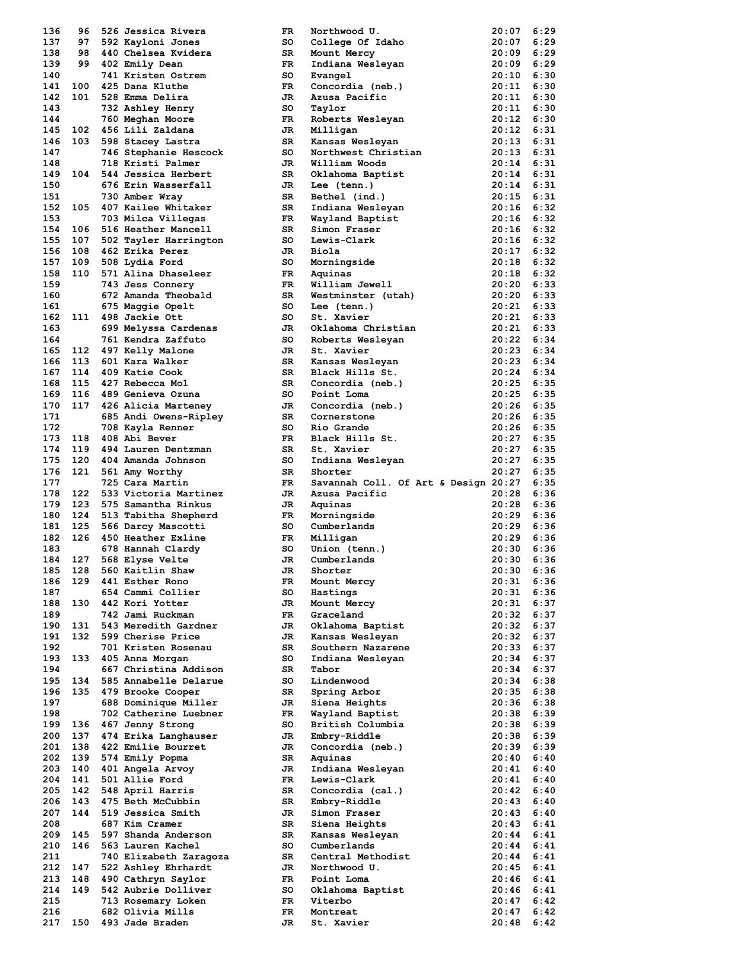| 136        | 96      | 526 Jessica Rivera                      | FR.       | Northwood U.                         | 20:07          | 6:29         |
|------------|---------|-----------------------------------------|-----------|--------------------------------------|----------------|--------------|
| 137        | 97      | 592 Kayloni Jones                       | so        | College Of Idaho                     | 20:07          | 6:29         |
| 138        |         | 98 440 Chelsea Kvidera                  |           |                                      | 20:09          | 6:29         |
|            |         |                                         | SR        | Mount Mercy                          |                |              |
| 139        |         | 99 402 Emily Dean                       | FR        | Indiana Wesleyan                     | 20:09          | 6:29         |
| 140        |         | 741 Kristen Ostrem                      | so        | Evangel                              | 20:10          | 6:30         |
|            | 141 100 | 425 Dana Kluthe                         | FR.       | Concordia (neb.)                     | 20:11          | 6:30         |
| 142        |         | 101 528 Emma Delira                     | JR.       | Azusa Pacific                        | 20:11          | 6:30         |
|            |         |                                         |           |                                      |                |              |
| 143        |         | 732 Ashley Henry                        | so        | Taylor                               | 20:11          | 6:30         |
| 144        |         | 760 Meghan Moore                        | FR.       | Roberts Wesleyan                     | 20:12          | 6:30         |
| 145        |         | 102 456 Lili Zaldana                    | JR.       | Milligan                             | 20:12          | 6:31         |
| 146        |         | 103 598 Stacey Lastra                   | SR        | Kansas Wesleyan                      | 20:13          | 6:31         |
| 147        |         |                                         |           | Northwest Christian                  | 20:13          | 6:31         |
|            |         | 746 Stephanie Hescock                   | so        |                                      |                |              |
| 148        |         | 718 Kristi Palmer                       | JR        | William Woods                        | 20:14          | 6:31         |
| 149        |         | 104 544 Jessica Herbert                 | SR        | Oklahoma Baptist                     | 20:14          | 6:31         |
| 150        |         | 676 Erin Wasserfall                     | JR        | Lee (tenn.)                          | 20:14          | 6:31         |
|            |         |                                         |           |                                      |                |              |
| 151        |         | 730 Amber Wray                          | SR        | Bethel (ind.)                        | 20:15          | 6:31         |
| 152        | 105     | 407 Kailee Whitaker                     | SR        | Indiana Wesleyan                     | $20:16$ 6:32   |              |
| 153        |         | 703 Milca Villegas                      | FR.       | Wayland Baptist                      | 20:16          | 6:32         |
| 154        |         | 106 516 Heather Mancell                 | SR        | Simon Fraser                         | $20:16$ 6:32   |              |
|            |         |                                         |           |                                      |                |              |
| 155        | 107     | 502 Tayler Harrington                   | so        | Lewis-Clark                          | 20:16          | 6:32         |
| 156        |         | 108 462 Erika Perez                     | JR.       | Biola                                | 20:17          | 6:32         |
|            |         | 157 109 508 Lydia Ford                  | so        | Morningside                          | 20:18          | 6:32         |
| 158        |         | 110 571 Alina Dhaseleer                 | FR.       | Aquinas                              | $20:18$ 6:32   |              |
| 159        |         | 743 Jess Connery                        | FR.       | William Jewell                       | 20:20          | 6:33         |
|            |         |                                         |           |                                      |                |              |
| 160        |         | 672 Amanda Theobald                     | SR        | Westminster (utah)                   | $20:20$ 6:33   |              |
| 161        |         | 675 Maggie Opelt                        | so        | Lee (tenn.)                          | 20:21          | 6:33         |
|            |         | 162 111 498 Jackie Ott                  | so        | St. Xavier                           | 20:21          | 6:33         |
|            |         |                                         |           |                                      |                |              |
| 163        |         | 699 Melyssa Cardenas                    | JR        | Oklahoma Christian                   | 20:21          | 6:33         |
| 164        |         | 761 Kendra Zaffuto                      | so        | Roberts Wesleyan                     | 20:22          | 6:34         |
| 165        |         | 112 497 Kelly Malone                    | JR        | St. Xavier                           | 20:23          | 6:34         |
| 166        |         | 113 601 Kara Walker                     | SR        | Kansas Wesleyan                      | $20:23$ 6:34   |              |
| 167        | 114     | 409 Katie Cook                          | SR        |                                      | 20:24          | 6:34         |
|            |         |                                         |           | Black Hills St.                      |                |              |
| 168        | 115     | 427 Rebecca Mol                         | SR        | Concordia (neb.)                     | $20:25$ 6:35   |              |
| 169        | 116     | 489 Genieva Ozuna                       | so        | Point Loma                           | 20:25          | 6:35         |
| 170        |         | 117 426 Alicia Marteney                 | JR.       | Concordia (neb.)                     | 20:26          | 6:35         |
| 171        |         | 685 Andi Owens-Ripley                   | SR        | Cornerstone                          | 20:26          | 6:35         |
|            |         |                                         |           |                                      |                |              |
| 172        |         | 708 Kayla Renner                        | so        | Rio Grande                           | $20:26$ 6:35   |              |
| 173        | 118     | 408 Abi Bever                           | FR.       | Black Hills St.                      | 20:27          | 6:35         |
| 174        |         | 119 494 Lauren Dentzman                 | SR        | St. Xavier                           | 20:27          | 6:35         |
| 175        | 120     | 404 Amanda Johnson                      | so        | Indiana Wesleyan                     | 20:27          | 6:35         |
|            |         |                                         |           |                                      |                |              |
|            |         |                                         |           |                                      |                |              |
| 176        | 121     | 561 Amy Worthy                          | SR        | Shorter                              | 20:27          | 6:35         |
| 177        |         | 725 Cara Martin                         | FR.       | Savannah Coll. Of Art & Design 20:27 |                | 6:35         |
| 178        |         | 122 533 Victoria Martinez               | JR        | Azusa Pacific                        | 20:28          | 6:36         |
|            |         |                                         |           |                                      |                |              |
| 179        | 123     | 575 Samantha Rinkus                     | JR        | Aquinas                              | 20:28          | 6:36         |
| 180        |         | 124 513 Tabitha Shepherd                | FR.       | Morningside                          | $20:29$ 6:36   |              |
| 181        |         | 125 566 Darcy Mascotti                  | so        | Cumberlands                          | $20:29$ 6:36   |              |
| 182        |         | 126 450 Heather Exline                  | FR -      |                                      | $20:29$ 6:36   |              |
|            |         |                                         |           | Milligan                             |                |              |
| 183        |         | 678 Hannah Clardy                       | so        | Union (tenn.)                        | 20:30          | 6:36         |
| 184        | 127     | 568 Elyse Velte                         | JR.       | Cumberlands                          | 20:30          | 6:36         |
|            | 185 128 | 560 Kaitlin Shaw                        | JR        | Shorter                              | $20:30$ 6:36   |              |
| 186        | 129     | 441 Esther Rono                         | FR        |                                      | 20:31          | 6:36         |
|            |         |                                         |           | Mount Mercy                          |                |              |
| 187        |         | 654 Cammi Collier                       | so        | Hastings                             | 20:31          | 6:36         |
| 188        |         | 130 442 Kori Yotter                     | JR.       | Mount Mercy                          | 20:31          | 6:37         |
| 189        |         | 742 Jami Ruckman                        | FR.       | Graceland                            | 20:32          | 6:37         |
| 190        | 131     | 543 Meredith Gardner                    | JR        | Oklahoma Baptist                     | 20:32          | 6:37         |
|            | 132     | 599 Cherise Price                       |           |                                      |                |              |
| 191        |         |                                         | JR        | Kansas Wesleyan                      | 20:32          | 6:37         |
| 192        |         | 701 Kristen Rosenau                     | SR.       | Southern Nazarene                    | 20:33          | 6:37         |
| 193        | 133     | 405 Anna Morgan                         | so        | Indiana Wesleyan                     | 20:34          | 6:37         |
| 194        |         | 667 Christina Addison                   | SR        | Tabor                                | 20:34          | 6:37         |
|            | 134     | 585 Annabelle Delarue                   | so        |                                      |                |              |
| 195        |         |                                         |           | Lindenwood                           | 20:34          | 6:38         |
| 196        |         | 135 479 Brooke Cooper                   | SR        | Spring Arbor                         | 20:35          | 6:38         |
| 197        |         | 688 Dominique Miller                    | JR        | Siena Heights                        | 20:36          | 6:38         |
| 198        |         | 702 Catherine Luebner                   | FR        | Wayland Baptist                      | 20:38          | 6:39         |
|            |         |                                         |           |                                      |                |              |
| 199        | 136     | 467 Jenny Strong                        | so        | British Columbia                     | 20:38          | 6:39         |
| 200        | 137     | 474 Erika Langhauser                    | JR        | Embry-Riddle                         | 20:38          | 6:39         |
| 201        | 138     | 422 Emilie Bourret                      | JR        | Concordia (neb.)                     | 20:39          | 6:39         |
| 202        | 139     | 574 Emily Popma                         | SR        | Aquinas                              | 20:40          | 6:40         |
|            |         |                                         |           |                                      |                |              |
| 203        | 140     | 401 Angela Arvoy                        | JR        | Indiana Wesleyan                     | 20:41          | 6:40         |
| 204        | 141     | 501 Allie Ford                          | FR.       | Lewis-Clark                          | 20:41          | 6:40         |
| 205        | 142     | 548 April Harris                        | SR        | Concordia (cal.)                     | 20:42          | 6:40         |
| 206        | 143     | 475 Beth McCubbin                       | SR        | Embry-Riddle                         | 20:43          | 6:40         |
|            |         |                                         |           |                                      |                |              |
| 207        | 144     | 519 Jessica Smith                       | JR        | Simon Fraser                         | $20:43$ 6:40   |              |
| 208        |         | 687 Kim Cramer                          | SR        | Siena Heights                        | 20:43          | 6:41         |
| 209        | 145     | 597 Shanda Anderson                     | SR        | Kansas Wesleyan                      | 20:44          | 6:41         |
| 210        | 146     | 563 Lauren Kachel                       | so        | Cumberlands                          | 20:44          | 6:41         |
|            |         |                                         |           |                                      |                |              |
| 211        |         | 740 Elizabeth Zaragoza                  | SR        | Central Methodist                    | 20:44          | 6:41         |
| 212        | 147     | 522 Ashley Ehrhardt                     | JR        | Northwood U.                         | 20:45          | 6:41         |
| 213        | 148     | 490 Cathryn Saylor                      | FR        | Point Loma                           | 20:46          | 6:41         |
| 214        | 149     | 542 Aubrie Dolliver                     | so        | Oklahoma Baptist                     | 20:46          | 6:41         |
| 215        |         |                                         | FR        | Viterbo                              | 20:47          | 6:42         |
|            |         | 713 Rosemary Loken                      |           |                                      |                |              |
| 216<br>217 |         | 682 Olivia Mills<br>150 493 Jade Braden | FR.<br>JR | Montreat<br>St. Xavier               | 20:47<br>20:48 | 6:42<br>6:42 |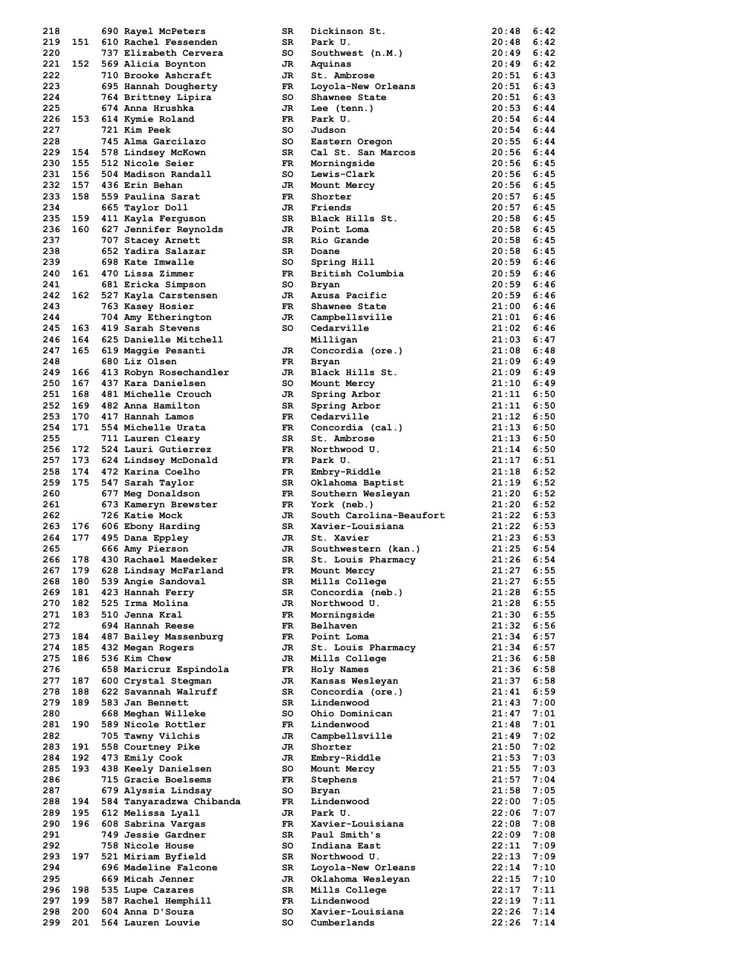| 218 |         | 690 Rayel McPeters        | SR   | Dickinson St.           | 20:48        | 6:42 |
|-----|---------|---------------------------|------|-------------------------|--------------|------|
| 219 | 151     | 610 Rachel Fessenden      | SR.  | Park U.                 | 20:48        | 6:42 |
| 220 |         | 737 Elizabeth Cervera     | so   | Southwest (n.M.)        | 20:49        | 6:42 |
|     | 221 152 | 569 Alicia Boynton        | JR   | Aquinas                 | 20:49        | 6:42 |
| 222 |         | 710 Brooke Ashcraft       | JR   | St. Ambrose             | 20:51        | 6:43 |
| 223 |         |                           |      |                         |              | 6:43 |
|     |         | 695 Hannah Dougherty      | FR   | Loyola-New Orleans      | 20:51        |      |
| 224 |         | 764 Brittney Lipira       | so   | Shawnee State           | 20:51        | 6:43 |
| 225 |         | 674 Anna Hrushka          | JR.  | Lee (tenn.)             | 20:53        | 6:44 |
| 226 | 153     | 614 Kymie Roland          | FR.  | Park U.                 | 20:54        | 6:44 |
| 227 |         | 721 Kim Peek              | so   | Judson                  | 20:54        | 6:44 |
| 228 |         | 745 Alma Garcilazo        | so   | Eastern Oregon          | 20:55        | 6:44 |
| 229 | 154     | 578 Lindsey McKown        | SR   | Cal St. San Marcos      | 20:56        | 6:44 |
| 230 | 155     | 512 Nicole Seier          | FR 1 | Morningside             | 20:56        | 6:45 |
|     |         |                           |      |                         |              |      |
| 231 | 156     | 504 Madison Randall       | so   | Lewis-Clark             | 20:56        | 6:45 |
| 232 | 157     | 436 Erin Behan            | JR   | Mount Mercy             | 20:56        | 6:45 |
| 233 | 158     | 559 Paulina Sarat         | FR.  | Shorter                 | 20:57        | 6:45 |
| 234 |         | 665 Taylor Doll           | JR.  | Friends                 | 20:57        | 6:45 |
| 235 | 159     | 411 Kayla Ferguson        | SR   | Black Hills St.         | 20:58        | 6:45 |
| 236 | 160     | 627 Jennifer Reynolds     | JR   | Point Loma              | 20:58        | 6:45 |
| 237 |         | 707 Stacey Arnett         | SR   | Rio Grande              | 20:58        | 6:45 |
| 238 |         | 652 Yadira Salazar        | SR.  | Doane                   | $20:58$ 6:45 |      |
|     |         |                           |      |                         |              |      |
| 239 |         | 698 Kate Imwalle          | so   | Spring Hill             | 20:59        | 6:46 |
| 240 |         | 161 470 Lissa Zimmer      | FR.  | British Columbia        | 20:59        | 6:46 |
| 241 |         | 681 Ericka Simpson        | so   | Bryan                   | 20:59        | 6:46 |
| 242 |         | 162 527 Kayla Carstensen  | JR.  | Azusa Pacific           | $20:59$ 6:46 |      |
| 243 |         | 763 Kasey Hosier          | FR   | Shawnee State           | $21:00$ 6:46 |      |
| 244 |         | 704 Amy Etherington       | JR   | Campbellsville          | 21:01        | 6:46 |
| 245 | 163     | 419 Sarah Stevens         | so   | Cedarville              | 21:02        | 6:46 |
| 246 |         | 164 625 Danielle Mitchell |      |                         | $21:03$ 6:47 |      |
|     |         |                           |      | Milligan                |              | 6:48 |
| 247 |         | 165 619 Maggie Pesanti    | JR   | Concordia (ore.)        | 21:08        |      |
| 248 |         | 680 Liz Olsen             | FR.  | Bryan                   | $21:09$ 6:49 |      |
| 249 | 166     | 413 Robyn Rosechandler    | JR   | Black Hills St.         | $21:09$ 6:49 |      |
| 250 | 167     | 437 Kara Danielsen        | so   | Mount Mercy             | $21:10$ 6:49 |      |
| 251 | 168     | 481 Michelle Crouch       | JR   | Spring Arbor            | 21:11        | 6:50 |
| 252 | 169     | 482 Anna Hamilton         | SR   | Spring Arbor            | 21:11        | 6:50 |
| 253 | 170     | 417 Hannah Lamos          | FR.  | Cedarville              | 21:12        | 6:50 |
| 254 | 171     | 554 Michelle Urata        | FR.  |                         | $21:13$ 6:50 |      |
|     |         |                           |      | Concordia (cal.)        |              |      |
| 255 |         | 711 Lauren Cleary         | SR   | St. Ambrose             | 21:13        | 6:50 |
| 256 | 172     | 524 Lauri Gutierrez       | FR.  | Northwood U.            | 21:14        | 6:50 |
| 257 | 173     | 624 Lindsey McDonald      | FR   | Park U.                 | 21:17        | 6:51 |
| 258 |         | 174 472 Karina Coelho     | FR   | Embry-Riddle            | 21:18        | 6:52 |
| 259 | 175     | 547 Sarah Taylor          | SR   | Oklahoma Baptist        | 21:19        | 6:52 |
|     |         |                           |      |                         |              |      |
|     |         |                           |      |                         |              |      |
| 260 |         | 677 Meg Donaldson         | FR.  | Southern Wesleyan       | $21:20$ 6:52 |      |
| 261 |         | 673 Kameryn Brewster      | FR   | York (neb.)             | 21:20        | 6:52 |
| 262 |         | 726 Katie Mock            | JR   | South Carolina-Beaufort | $21:22$ 6:53 |      |
| 263 |         | 176 606 Ebony Harding     | SR   | Xavier-Louisiana        | 21:22        | 6:53 |
| 264 | 177     | 495 Dana Eppley           | JR   | St. Xavier              | $21:23$ 6:53 |      |
| 265 |         | 666 Amy Pierson           | JR   | Southwestern (kan.)     | 21:25        | 6:54 |
| 266 | 178     | 430 Rachael Maedeker      | SR   | St. Louis Pharmacy      | 21:26        | 6:54 |
|     |         |                           |      |                         |              |      |
| 267 | 179     | 628 Lindsay McFarland     | FR 1 | Mount Mercy             | 21:27        | 6:55 |
| 268 |         | 180 539 Angie Sandoval    | SR   | Mills College           | 21:27        | 6:55 |
| 269 |         | 181 423 Hannah Ferry      | SR   | Concordia (neb.)        | 21:28        | 6:55 |
| 270 | 182     | 525 Irma Molina           | JR   | Northwood U.            | 21:28        | 6:55 |
| 271 | 183     | 510 Jenna Kral            | FR   | Morningside             | 21:30        | 6:55 |
| 272 |         | 694 Hannah Reese          | FR   | Belhaven                | 21:32        | 6:56 |
| 273 |         | 184 487 Bailey Massenburg | FR.  | Point Loma              | 21:34        | 6:57 |
| 274 | 185     | 432 Megan Rogers          | JR   | St. Louis Pharmacy      | 21:34        | 6:57 |
| 275 | 186     | 536 Kim Chew              | JR   |                         | 21:36        | 6:58 |
|     |         |                           |      | Mills College           |              |      |
| 276 |         | 658 Maricruz Espindola    | FR.  | Holy Names              | 21:36        | 6:58 |
| 277 | 187     | 600 Crystal Stegman       | JR   | Kansas Wesleyan         | 21:37        | 6:58 |
| 278 | 188     | 622 Savannah Walruff      | SR   | Concordia (ore.)        | 21:41        | 6:59 |
| 279 | 189     | 583 Jan Bennett           | SR   | Lindenwood              | 21:43        | 7:00 |
| 280 |         | 668 Meghan Willeke        | so   | Ohio Dominican          | 21:47        | 7:01 |
| 281 | 190     | 589 Nicole Rottler        | FR.  | Lindenwood              | 21:48        | 7:01 |
| 282 |         | 705 Tawny Vilchis         | JR   | Campbellsville          | 21:49        | 7:02 |
| 283 | 191     |                           | JR   | Shorter                 | 21:50        | 7:02 |
|     |         | 558 Courtney Pike         |      |                         |              |      |
| 284 |         | 192 473 Emily Cook        | JR   | Embry-Riddle            | 21:53        | 7:03 |
| 285 | 193     | 438 Keely Danielsen       | so   | Mount Mercy             | 21:55        | 7:03 |
| 286 |         | 715 Gracie Boelsems       | FR   | Stephens                | 21:57        | 7:04 |
| 287 |         | 679 Alyssia Lindsay       | so   | Bryan                   | 21:58        | 7:05 |
| 288 | 194     | 584 Tanyaradzwa Chibanda  | FR.  | Lindenwood              | 22:00        | 7:05 |
| 289 | 195     | 612 Melissa Lyall         | JR.  | Park U.                 | 22:06        | 7:07 |
| 290 | 196     | 608 Sabrina Vargas        | FR   | Xavier-Louisiana        | 22:08        | 7:08 |
| 291 |         | 749 Jessie Gardner        | SR   | Paul Smith's            | 22:09        | 7:08 |
|     |         |                           |      |                         |              |      |
| 292 |         | 758 Nicole House          | so   | Indiana East            | 22:11        | 7:09 |
| 293 | 197     | 521 Miriam Byfield        | SR   | Northwood U.            | 22:13        | 7:09 |
| 294 |         | 696 Madeline Falcone      | SR   | Loyola-New Orleans      | 22:14        | 7:10 |
| 295 |         | 669 Micah Jenner          | JR   | Oklahoma Wesleyan       | 22:15        | 7:10 |
| 296 |         | 198 535 Lupe Cazares      | SR   | Mills College           | 22:17        | 7:11 |
| 297 |         | 199 587 Rachel Hemphill   | FR   | Lindenwood              | 22:19        | 7:11 |
| 298 | 200     | 604 Anna D'Souza          | so   | Xavier-Louisiana        | 22:26        | 7:14 |
| 299 | 201     | 564 Lauren Louvie         | so   | Cumberlands             | 22:26        | 7:14 |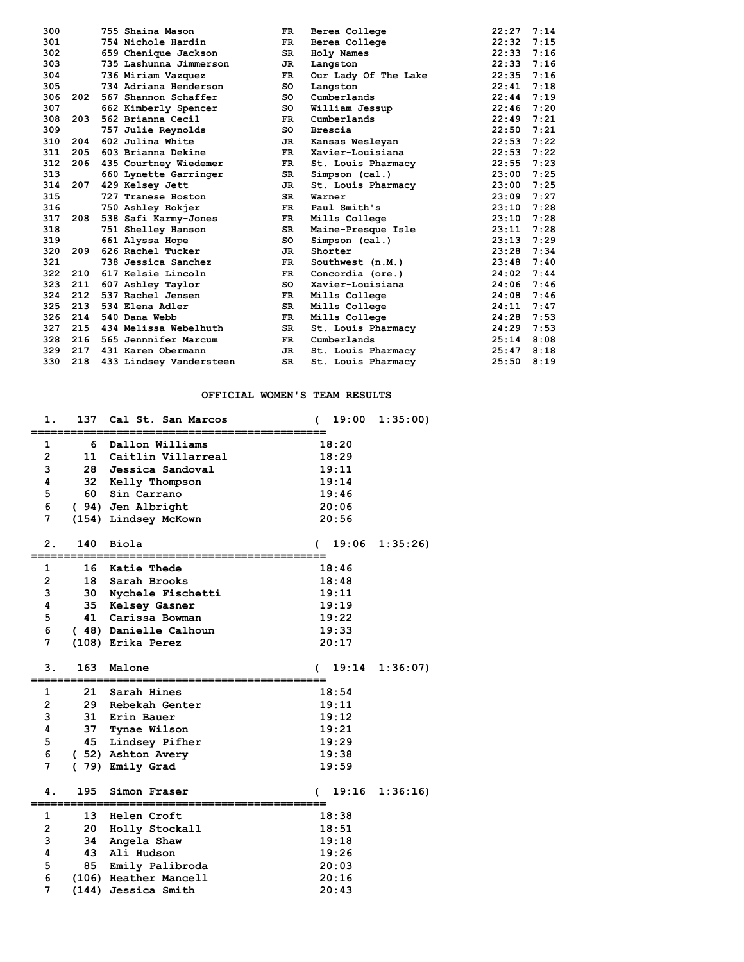| 300 |     | 755 Shaina Mason        | FR.       | Berea College        | 22:27 | 7:14 |
|-----|-----|-------------------------|-----------|----------------------|-------|------|
| 301 |     | 754 Nichole Hardin      | FR.       | Berea College        | 22:32 | 7:15 |
| 302 |     | 659 Chenique Jackson    | SR.       | Holy Names           | 22:33 | 7:16 |
| 303 |     | 735 Lashunna Jimmerson  | JR.       | Langston             | 22:33 | 7:16 |
| 304 |     | 736 Miriam Vazquez      | FR.       | Our Lady Of The Lake | 22:35 | 7:16 |
| 305 |     | 734 Adriana Henderson   | so        | Langston             | 22:41 | 7:18 |
| 306 | 202 | 567 Shannon Schaffer    | so        | Cumberlands          | 22:44 | 7:19 |
| 307 |     | 662 Kimberly Spencer    | so        | William Jessup       | 22:46 | 7:20 |
| 308 | 203 | 562 Brianna Cecil       | FR.       | Cumberlands          | 22:49 | 7:21 |
| 309 |     | 757 Julie Reynolds      | so        | Brescia              | 22:50 | 7:21 |
| 310 | 204 | 602 Julina White        | JR        | Kansas Wesleyan      | 22:53 | 7:22 |
| 311 | 205 | 603 Brianna Dekine      | <b>FR</b> | Xavier-Louisiana     | 22:53 | 7:22 |
| 312 | 206 | 435 Courtney Wiedemer   | FR.       | St. Louis Pharmacy   | 22:55 | 7:23 |
| 313 |     | 660 Lynette Garringer   | SR.       | Simpson (cal.)       | 23:00 | 7:25 |
| 314 | 207 | 429 Kelsey Jett         | JR.       | St. Louis Pharmacy   | 23:00 | 7:25 |
| 315 |     | 727 Tranese Boston      | SR.       | Warner               | 23:09 | 7:27 |
| 316 |     | 750 Ashley Rokjer       | FR.       | Paul Smith's         | 23:10 | 7:28 |
| 317 | 208 | 538 Safi Karmy-Jones    | FR.       | Mills College        | 23:10 | 7:28 |
| 318 |     | 751 Shelley Hanson      | SR.       | Maine-Presque Isle   | 23:11 | 7:28 |
| 319 |     | 661 Alyssa Hope         | so        | Simpson (cal.)       | 23:13 | 7:29 |
| 320 | 209 | 626 Rachel Tucker       | JR.       | Shorter              | 23:28 | 7:34 |
| 321 |     | 738 Jessica Sanchez     | FR.       | Southwest (n.M.)     | 23:48 | 7:40 |
| 322 | 210 | 617 Kelsie Lincoln      | FR.       | Concordia (ore.)     | 24:02 | 7:44 |
| 323 | 211 | 607 Ashley Taylor       | SO.       | Xavier-Louisiana     | 24:06 | 7:46 |
| 324 | 212 | 537 Rachel Jensen       | FR.       | Mills College        | 24:08 | 7:46 |
| 325 | 213 | 534 Elena Adler         | SR.       | Mills College        | 24:11 | 7:47 |
| 326 | 214 | 540 Dana Webb           | FR.       | Mills College        | 24:28 | 7:53 |
| 327 | 215 | 434 Melissa Webelhuth   | SR.       | St. Louis Pharmacy   | 24:29 | 7:53 |
| 328 | 216 | 565 Jennnifer Marcum    | FR.       | Cumberlands          | 25:14 | 8:08 |
| 329 | 217 | 431 Karen Obermann      | JR.       | St. Louis Pharmacy   | 25:47 | 8:18 |
| 330 | 218 | 433 Lindsey Vandersteen | SR.       | St. Louis Pharmacy   | 25:50 | 8:19 |

### **OFFICIAL WOMEN'S TEAM RESULTS**

| 1.                  | 137      | Cal St. San Marcos           | 19:00<br>C     | 1:35:00 |
|---------------------|----------|------------------------------|----------------|---------|
| 1                   | 6        | Dallon Williams              | 18:20          |         |
| $\overline{2}$      | 11       | Caitlin Villarreal           | 18:29          |         |
| 3                   | 28       | Jessica Sandoval             | 19:11          |         |
| 4                   | 32       | Kelly Thompson               | 19:14          |         |
| 5                   | 60       | Sin Carrano                  | 19:46          |         |
| 6                   |          | ( 94) Jen Albright           | 20:06          |         |
| 7                   |          | (154) Lindsey McKown         | 20:56          |         |
|                     |          |                              |                |         |
| 2.                  | 140      | Biola                        | 19:06<br>€     | 1:35:26 |
| 1                   | 16       | Katie Thede                  | 18:46          |         |
| $\overline{2}$      | 18       | Sarah Brooks                 | 18:48          |         |
| 3                   | 30       | Nychele Fischetti            | 19:11          |         |
| 4                   | 35       | Kelsey Gasner                | 19:19          |         |
| 5                   | 41       | Carissa Bowman               | 19:22          |         |
| 6                   |          | (48) Danielle Calhoun        | 19:33          |         |
| 7                   |          | (108) Erika Perez            | 20:17          |         |
|                     |          |                              |                |         |
|                     |          |                              |                |         |
| з.                  | 163      | Malone                       | 19:14          | 1:36:07 |
|                     | 21       |                              |                |         |
| 1                   |          | Sarah Hines                  | 18:54          |         |
| $\overline{2}$<br>3 | 29<br>31 | Rebekah Genter<br>Erin Bauer | 19:11<br>19:12 |         |
| 4                   | 37       |                              | 19:21          |         |
| 5                   | 45       | Tynae Wilson                 | 19:29          |         |
| 6                   |          | Lindsey Pifher               | 19:38          |         |
| 7                   |          | (52) Ashton Avery            | 19:59          |         |
|                     |          | (79) Emily Grad              |                |         |
| 4.                  | 195      | Simon Fraser                 | 19:16          | 1:36:16 |
| 1                   | 13       | Helen Croft                  | 18:38          |         |
| 2                   | 20       | Holly Stockall               | 18:51          |         |
| 3                   | 34       | Angela Shaw                  | 19:18          |         |
| 4                   | 43       | Ali Hudson                   | 19:26          |         |
| 5                   | 85       | Emily Palibroda              | 20:03          |         |
| 6                   |          | (106) Heather Mancell        | 20:16          |         |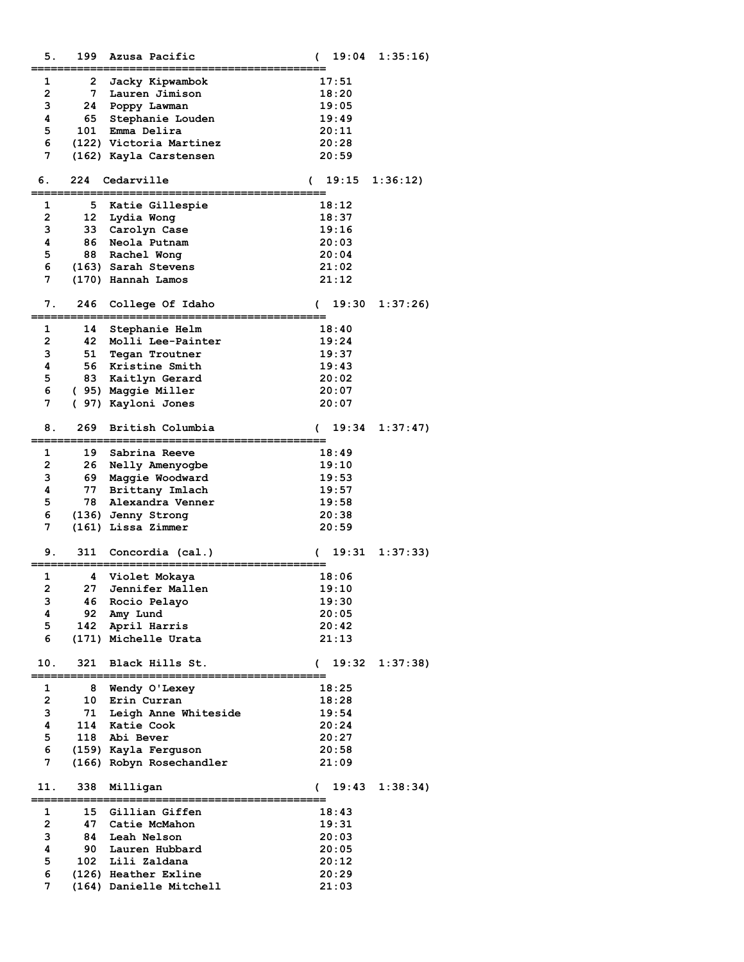| 5.             | 199 | Azusa Pacific            | €             | 19:04 | 1:35:16  |
|----------------|-----|--------------------------|---------------|-------|----------|
| 1              | 2   | Jacky Kipwambok          |               | 17:51 |          |
| $\overline{2}$ | 7   | Lauren Jimison           |               | 18:20 |          |
| 3              | 24  | Poppy Lawman             |               | 19:05 |          |
| 4              | 65  | Stephanie Louden         |               | 19:49 |          |
| 5              | 101 | Emma Delira              |               | 20:11 |          |
| 6              |     | (122) Victoria Martinez  |               | 20:28 |          |
| 7              |     | (162) Kayla Carstensen   |               | 20:59 |          |
|                |     |                          |               |       |          |
| 6.             | 224 | Cedarville               | $\sqrt{2}$    | 19:15 | 1:36:12  |
| 1              | 5   | Katie Gillespie          |               | 18:12 |          |
| $\mathbf{2}$   | 12  | Lydia Wong               |               | 18:37 |          |
| 3              | 33  | Carolyn Case             |               | 19:16 |          |
| 4              | 86  | Neola Putnam             |               | 20:03 |          |
| 5              | 88  | Rachel Wong              |               | 20:04 |          |
| 6              |     | (163) Sarah Stevens      |               | 21:02 |          |
| 7              |     | (170) Hannah Lamos       |               | 21:12 |          |
|                |     |                          |               |       |          |
| 7.             | 246 | College Of Idaho         | $\mathcal{C}$ | 19:30 | 1:37:26  |
| 1              | 14  | Stephanie Helm           |               | 18:40 |          |
| $\overline{2}$ | 42  | Molli Lee-Painter        |               | 19:24 |          |
| 3              | 51  | Tegan Troutner           |               | 19:37 |          |
| 4              | 56  | Kristine Smith           |               | 19:43 |          |
| 5              | 83  | Kaitlyn Gerard           |               | 20:02 |          |
| 6              |     | ( 95) Maggie Miller      |               | 20:07 |          |
| 7              |     |                          |               |       |          |
|                |     | ( 97) Kayloni Jones      |               | 20:07 |          |
| 8.             | 269 | British Columbia         | C             | 19:34 | 1:37:47  |
|                |     |                          |               |       |          |
| 1              | 19  | Sabrina Reeve            |               | 18:49 |          |
| $\overline{2}$ | 26  | Nelly Amenyogbe          |               | 19:10 |          |
| 3              | 69  | Maggie Woodward          |               | 19:53 |          |
| 4              | 77  | Brittany Imlach          |               | 19:57 |          |
| 5              | 78  | Alexandra Venner         |               | 19:58 |          |
| 6              |     | (136) Jenny Strong       |               | 20:38 |          |
| 7              |     | (161) Lissa Zimmer       |               | 20:59 |          |
| 9.             | 311 | Concordia (cal.)         | €             | 19:31 | 1:37:33  |
|                |     |                          |               |       |          |
| 1              | 4   | Violet Mokaya            |               | 18:06 |          |
| 2              | 27  | Jennifer Mallen          |               | 19:10 |          |
| 3              | 46  | Rocio Pelayo             |               | 19:30 |          |
| 4              | 92  | Amy Lund                 |               | 20:05 |          |
| 5              | 142 | April Harris             |               | 20:42 |          |
| 6              |     | (171) Michelle Urata     |               | 21:13 |          |
|                |     |                          |               |       |          |
| 10.            | 321 | Black Hills St.          | €             | 19:32 | 1:37:38  |
| 1              | 8   | Wendy O'Lexey            |               | 18:25 |          |
| 2              | 10  | Erin Curran              |               | 18:28 |          |
| 3              | 71  | Leigh Anne Whiteside     |               | 19:54 |          |
| 4              | 114 | Katie Cook               |               | 20:24 |          |
| 5              |     | 118 Abi Bever            |               | 20:27 |          |
| 6              |     | (159) Kayla Ferguson     |               | 20:58 |          |
| 7              |     | (166) Robyn Rosechandler |               | 21:09 |          |
|                |     |                          |               |       |          |
| 11.            | 338 | Milligan                 | €             | 19:43 | 1:38:34) |
| 1              | 15  | Gillian Giffen           |               | 18:43 |          |
| 2              | 47  | Catie McMahon            |               | 19:31 |          |
| з              | 84  | Leah Nelson              |               | 20:03 |          |
| 4              | 90  | Lauren Hubbard           |               | 20:05 |          |
| 5              | 102 | Lili Zaldana             |               | 20:12 |          |
| 6              |     | (126) Heather Exline     |               | 20:29 |          |
| 7              |     | (164) Danielle Mitchell  |               | 21:03 |          |
|                |     |                          |               |       |          |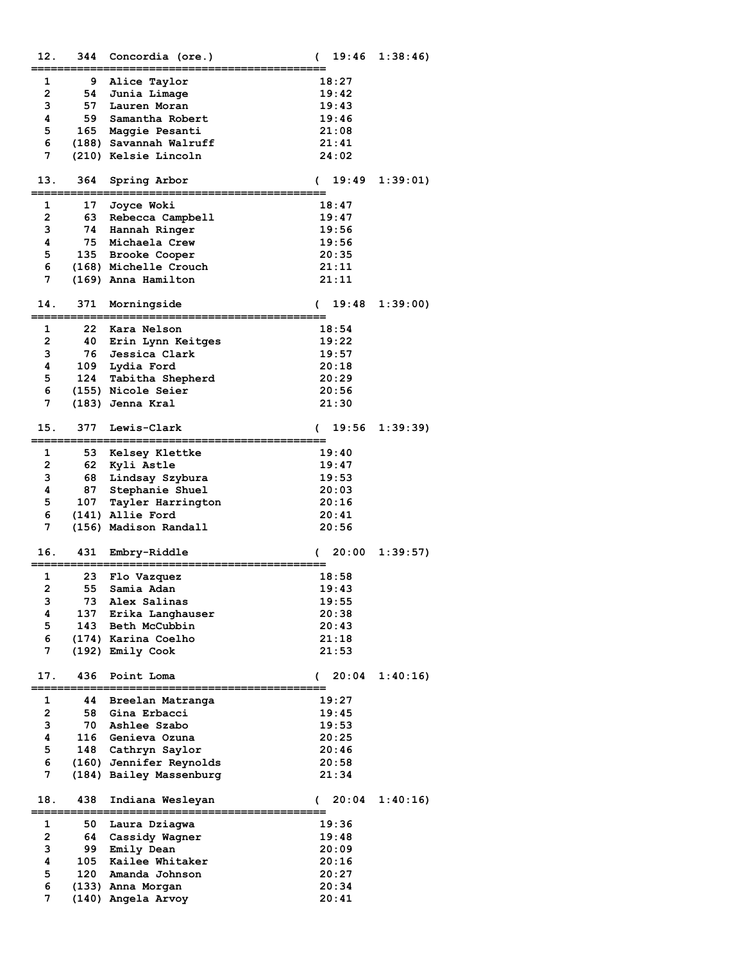| 12.            | 344      | Concordia (ore.)               | 19:46<br>€          | 1:38:46 |
|----------------|----------|--------------------------------|---------------------|---------|
| 1              | 9        | Alice Taylor                   | 18:27               |         |
| $\overline{2}$ | 54       | Junia Limage                   | 19:42               |         |
| 3              | 57       | Lauren Moran                   | 19:43               |         |
| 4              | 59       | Samantha Robert                | 19:46               |         |
| 5              | 165      | Maggie Pesanti                 | 21:08               |         |
| 6              |          | (188) Savannah Walruff         | 21:41               |         |
| 7              |          | (210) Kelsie Lincoln           | 24:02               |         |
|                |          |                                |                     |         |
| 13.            | 364      | Spring Arbor                   | 19:49<br>$\epsilon$ | 1:39:01 |
|                |          |                                |                     |         |
| 1              | 17       | Joyce Woki                     | 18:47               |         |
| $\overline{2}$ | 63       | Rebecca Campbell               | 19:47               |         |
| 3<br>4         | 74<br>75 | Hannah Ringer                  | 19:56               |         |
| 5              | 135      | Michaela Crew<br>Brooke Cooper | 19:56<br>20:35      |         |
| 6              |          | (168) Michelle Crouch          | 21:11               |         |
| 7              |          | (169) Anna Hamilton            | 21:11               |         |
|                |          |                                |                     |         |
| 14.            | 371      | Morningside                    | 19:48<br>$\epsilon$ | 1:39:00 |
|                |          |                                |                     |         |
| 1              | 22       | Kara Nelson                    | 18:54               |         |
| $\overline{2}$ | 40       | Erin Lynn Keitges              | 19:22               |         |
| 3              | 76       | Jessica Clark                  | 19:57               |         |
| 4              | 109      | Lydia Ford                     | 20:18               |         |
| 5              | 124      | Tabitha Shepherd               | 20:29               |         |
| 6              |          | (155) Nicole Seier             | 20:56               |         |
| 7              |          | (183) Jenna Kral               | 21:30               |         |
| 15.            | 377      | Lewis-Clark                    | 19:56<br>€          | 1:39:39 |
|                |          |                                |                     |         |
| 1              | 53       | Kelsey Klettke                 | 19:40               |         |
| $\mathbf{2}$   | 62       | Kyli Astle                     | 19:47               |         |
| з              | 68       | Lindsay Szybura                | 19:53               |         |
| 4              | 87       | Stephanie Shuel                | 20:03               |         |
| 5              | 107      | Tayler Harrington              | 20:16               |         |
| 6              |          | (141) Allie Ford               | 20:41               |         |
| 7              |          | (156) Madison Randall          | 20:56               |         |
| 16.            | 431      | Embry-Riddle                   | 20:00<br>(          | 1:39:57 |
|                |          |                                |                     |         |
| 1              | 23       | Flo Vazquez                    | 18:58               |         |
| $\overline{2}$ | 55       | Samia Adan                     | 19:43               |         |
| з              | 73       | Alex Salinas                   | 19:55               |         |
| 4              | 137      | Erika Langhauser               | 20:38               |         |
| 5              | 143      | Beth McCubbin                  | 20:43               |         |
| 6<br>7         |          | (174) Karina Coelho            | 21:18               |         |
|                |          | (192) Emily Cook               | 21:53               |         |
| 17.            | 436      | Point Loma                     | 20:04<br>€          | 1:40:16 |
|                |          |                                |                     |         |
| 1              | 44       | Breelan Matranga               | 19:27               |         |
| $\overline{2}$ | 58       | Gina Erbacci                   | 19:45               |         |
| 3              | 70       | Ashlee Szabo                   | 19:53               |         |
| 4              | 116      | Genieva Ozuna                  | 20:25               |         |
| 5              | 148      | Cathryn Saylor                 | 20:46               |         |
| 6              |          | (160) Jennifer Reynolds        | 20:58               |         |
| 7              |          | (184) Bailey Massenburg        | 21:34               |         |
| 18.            | 438      | Indiana Wesleyan               | 20:04<br>$\sqrt{2}$ | 1:40:16 |
| 1              | 50       | Laura Dziagwa                  | 19:36               |         |
| $\overline{2}$ | 64       | Cassidy Wagner                 | 19:48               |         |
| з              | 99       | Emily Dean                     | 20:09               |         |
| 4              | 105      | Kailee Whitaker                | 20:16               |         |
| 5              | 120      | Amanda Johnson                 | 20:27               |         |
| 6              |          | (133) Anna Morgan              | 20:34               |         |
| 7              |          | (140) Angela Arvoy             | 20:41               |         |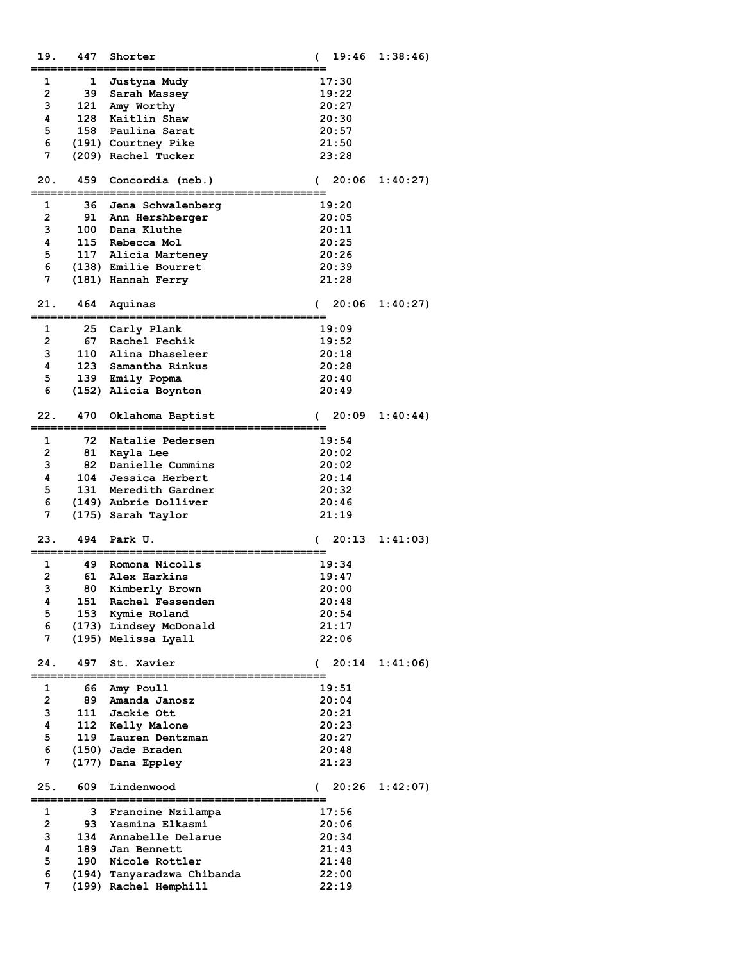| 19.            | 447 | Shorter                    | 19:46<br>€             | 1:38:46  |
|----------------|-----|----------------------------|------------------------|----------|
| 1              | 1   | Justyna Mudy               | 17:30                  |          |
| $\mathbf{2}$   | 39  | Sarah Massey               | 19:22                  |          |
| з              | 121 | Amy Worthy                 | 20:27                  |          |
| 4              | 128 | Kaitlin Shaw               | 20:30                  |          |
| 5              | 158 | Paulina Sarat              | 20:57                  |          |
| 6              |     | (191) Courtney Pike        | 21:50                  |          |
| 7              |     |                            |                        |          |
|                |     | (209) Rachel Tucker        | 23:28                  |          |
| 20.            | 459 | Concordia (neb.)           | 20:06<br>$\mathcal{L}$ | 1:40:27  |
| 1              | 36  | Jena Schwalenberg          | 19:20                  |          |
| $\mathbf{2}$   | 91  | Ann Hershberger            | 20:05                  |          |
| 3              |     | 100 Dana Kluthe            | 20:11                  |          |
| 4              |     | 115 Rebecca Mol            | 20:25                  |          |
| 5              |     | 117 Alicia Marteney        | 20:26                  |          |
| 6              |     | (138) Emilie Bourret       | 20:39                  |          |
| 7              |     | (181) Hannah Ferry         | 21:28                  |          |
|                |     |                            |                        |          |
| 21.            | 464 | Aquinas                    | 20:06<br><sup>.</sup>  | 1:40:27  |
| 1              | 25  | Carly Plank                | 19:09                  |          |
| $\overline{2}$ | 67  | Rachel Fechik              | 19:52                  |          |
| 3              | 110 | Alina Dhaseleer            | 20:18                  |          |
| 4              |     | 123 Samantha Rinkus        | 20:28                  |          |
| 5              | 139 | Emily Popma                | 20:40                  |          |
| 6              |     | (152) Alicia Boynton       | 20:49                  |          |
|                |     |                            |                        |          |
| 22.            | 470 | Oklahoma Baptist           | 20:09<br>€             | 1:40:44) |
| 1              | 72  | Natalie Pedersen           | 19:54                  |          |
| $\overline{2}$ | 81  | Kayla Lee                  | 20:02                  |          |
| 3              | 82  | Danielle Cummins           | 20:02                  |          |
| 4              | 104 | Jessica Herbert            | 20:14                  |          |
| 5              | 131 | Meredith Gardner           | 20:32                  |          |
| 6              |     | (149) Aubrie Dolliver      | 20:46                  |          |
| 7              |     | (175) Sarah Taylor         | 21:19                  |          |
|                |     |                            |                        |          |
| 23.            | 494 | Park U.                    | 20:13                  | 1:41:03  |
| 1              |     |                            |                        |          |
|                | 49  | Romona Nicolls             | 19:34                  |          |
| 2              | 61  | Alex Harkins               | 19:47                  |          |
| 3              | 80  | Kimberly Brown             | 20:00                  |          |
| 4              | 151 | Rachel Fessenden           | 20:48                  |          |
| 5              | 153 | Kymie Roland               | 20:54                  |          |
| 6              |     | (173) Lindsey McDonald     | 21:17                  |          |
| 7              |     | (195) Melissa Lyall        | 22:06                  |          |
| 24.            | 497 | St. Xavier                 | 20:14<br>€             | 1:41:06  |
|                |     |                            |                        |          |
| 1              | 66  | Amy Poull                  | 19:51                  |          |
| $\mathbf{2}$   | 89  | Amanda Janosz              | 20:04                  |          |
| 3              | 111 | Jackie Ott                 | 20:21                  |          |
| 4              | 112 | Kelly Malone               | 20:23                  |          |
| 5              | 119 | Lauren Dentzman            | 20:27                  |          |
| 6              |     | (150) Jade Braden          | 20:48                  |          |
| 7              |     | (177) Dana Eppley          | 21:23                  |          |
| 25.            | 609 | Lindenwood                 | 20:26<br>€             | 1:42:07) |
| 1              | 3   | Francine Nzilampa          | 17:56                  |          |
| 2              | 93  | Yasmina Elkasmi            | 20:06                  |          |
| 3              | 134 | Annabelle Delarue          | 20:34                  |          |
| 4              |     | 189 Jan Bennett            | 21:43                  |          |
| 5              |     | 190 Nicole Rottler         | 21:48                  |          |
| 6              |     | (194) Tanyaradzwa Chibanda | 22:00                  |          |
| 7              |     | (199) Rachel Hemphill      | 22:19                  |          |
|                |     |                            |                        |          |